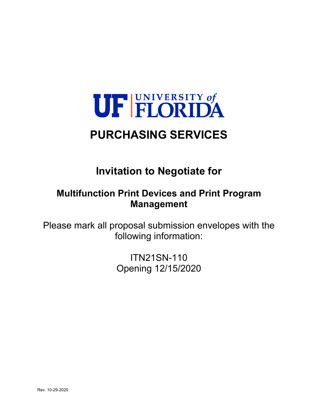

# **PURCHASING SERVICES**

# **Invitation to Negotiate for**

# **Multifunction Print Devices and Print Program Management**

Please mark all proposal submission envelopes with the following information:

> ITN21SN-110 Opening 12/15/2020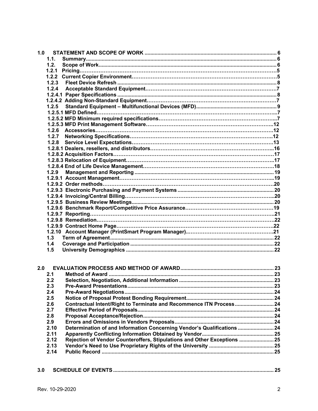| 1.0 |       |                                                                          |  |
|-----|-------|--------------------------------------------------------------------------|--|
|     | 1.1.  |                                                                          |  |
|     | 1.2.  |                                                                          |  |
|     | 1.2.1 |                                                                          |  |
|     |       |                                                                          |  |
|     | 1.2.3 |                                                                          |  |
|     | 1.2.4 |                                                                          |  |
|     |       |                                                                          |  |
|     |       |                                                                          |  |
|     | 1.2.5 |                                                                          |  |
|     |       |                                                                          |  |
|     |       |                                                                          |  |
|     |       |                                                                          |  |
|     | 1.2.6 |                                                                          |  |
|     |       |                                                                          |  |
|     |       |                                                                          |  |
|     |       |                                                                          |  |
|     |       |                                                                          |  |
|     |       |                                                                          |  |
|     |       |                                                                          |  |
|     | 1.2.9 |                                                                          |  |
|     |       |                                                                          |  |
|     |       |                                                                          |  |
|     |       |                                                                          |  |
|     |       |                                                                          |  |
|     |       |                                                                          |  |
|     |       |                                                                          |  |
|     |       |                                                                          |  |
|     |       |                                                                          |  |
|     |       |                                                                          |  |
|     |       |                                                                          |  |
|     |       |                                                                          |  |
|     | 1.3   |                                                                          |  |
|     | 1.4   |                                                                          |  |
|     | 1.5   |                                                                          |  |
|     |       |                                                                          |  |
|     |       |                                                                          |  |
| 2.0 |       |                                                                          |  |
|     | 2.1   |                                                                          |  |
|     | 2.2   |                                                                          |  |
|     | 2.3   |                                                                          |  |
|     | 2.4   |                                                                          |  |
|     | 2.5   |                                                                          |  |
|     | 2.6   | Contractual Intent/Right to Terminate and Recommence ITN Process 24      |  |
|     | 2.7   |                                                                          |  |
|     | 2.8   |                                                                          |  |
|     | 2.9   |                                                                          |  |
|     | 2.10  | Determination of and Information Concerning Vendor's Qualifications  24  |  |
|     | 2.11  |                                                                          |  |
|     | 2.12  | Rejection of Vendor Counteroffers, Stipulations and Other Exceptions  25 |  |

**3.0 SCHEDULE OF EVENTS ................................................................................................................ 25**

**2.13 Vendor's Need to Use Proprietary Rights of the University ............................................. 25 2.14 Public Record ........................................................................................................................ 25**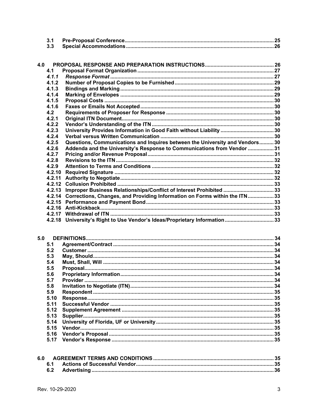| 4.0 |        |                                                                                  |  |
|-----|--------|----------------------------------------------------------------------------------|--|
|     | 4.1    |                                                                                  |  |
|     | 4.1.1  |                                                                                  |  |
|     | 4.1.2  |                                                                                  |  |
|     | 4.1.3  |                                                                                  |  |
|     | 4.1.4  |                                                                                  |  |
|     | 4.1.5  |                                                                                  |  |
|     | 4.1.6  |                                                                                  |  |
|     | 4.2    |                                                                                  |  |
|     | 4.2.1  |                                                                                  |  |
|     | 4.2.2  |                                                                                  |  |
|     | 4.2.3  | University Provides Information in Good Faith without Liability  30              |  |
|     | 4.2.4  |                                                                                  |  |
|     | 4.2.5  | Questions, Communications and Inquires between the University and Vendors 30     |  |
|     | 4.2.6  | Addenda and the University's Response to Communications from Vendor 31           |  |
|     | 4.2.7  |                                                                                  |  |
|     | 4.2.8  |                                                                                  |  |
|     | 4.2.9  |                                                                                  |  |
|     | 4.2.10 |                                                                                  |  |
|     | 4.2.11 |                                                                                  |  |
|     | 4.2.12 |                                                                                  |  |
|     | 4.2.13 | Improper Business Relationships/Conflict of Interest Prohibited 33               |  |
|     |        | 4.2.14 Corrections, Changes, and Providing Information on Forms within the ITN33 |  |
|     |        |                                                                                  |  |
|     |        |                                                                                  |  |
|     |        |                                                                                  |  |
|     |        | 4.2.18 University's Right to Use Vendor's Ideas/Proprietary Information 33       |  |
|     |        |                                                                                  |  |

| 5.0  |  |
|------|--|
| 5.1  |  |
| 5.2  |  |
| 5.3  |  |
| 5.4  |  |
| 5.5  |  |
| 5.6  |  |
| 5.7  |  |
| 5.8  |  |
| 5.9  |  |
| 5.10 |  |
| 5.11 |  |
| 5.12 |  |
| 5.13 |  |
| 5.14 |  |
| 5.15 |  |
| 5.16 |  |
| 5.17 |  |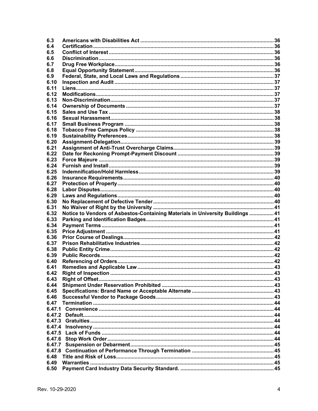| 6.3          |                                                                                |  |
|--------------|--------------------------------------------------------------------------------|--|
| 6.4          |                                                                                |  |
| 6.5          |                                                                                |  |
| 6.6          |                                                                                |  |
| 6.7          |                                                                                |  |
| 6.8          |                                                                                |  |
| 6.9          |                                                                                |  |
| 6.10         |                                                                                |  |
| 6.11         |                                                                                |  |
| 6.12         |                                                                                |  |
| 6.13         |                                                                                |  |
| 6.14         |                                                                                |  |
| 6.15         |                                                                                |  |
| 6.16         |                                                                                |  |
| 6.17         |                                                                                |  |
| 6.18         |                                                                                |  |
| 6.19         |                                                                                |  |
| 6.20         |                                                                                |  |
| 6.21         |                                                                                |  |
| 6.22         |                                                                                |  |
| 6.23         |                                                                                |  |
| 6.24         |                                                                                |  |
| 6.25         |                                                                                |  |
| 6.26         |                                                                                |  |
| 6.27         |                                                                                |  |
| 6.28         |                                                                                |  |
| 6.29         |                                                                                |  |
| 6.30         |                                                                                |  |
|              |                                                                                |  |
|              |                                                                                |  |
| 6.31         |                                                                                |  |
| 6.32         | Notice to Vendors of Asbestos-Containing Materials in University Buildings  41 |  |
| 6.33         |                                                                                |  |
| 6.34         |                                                                                |  |
| 6.35         |                                                                                |  |
| 6.36         |                                                                                |  |
| 6.37         |                                                                                |  |
| 6.38         |                                                                                |  |
| 6.39         |                                                                                |  |
| 6.40         |                                                                                |  |
| 6.41         |                                                                                |  |
| 6.42         |                                                                                |  |
| 6.43         |                                                                                |  |
| 6.44         |                                                                                |  |
| 6.45         |                                                                                |  |
| 6.46         |                                                                                |  |
| 6.47         |                                                                                |  |
| 6.47.1       |                                                                                |  |
| 6.47.2       |                                                                                |  |
| 6.47.3       |                                                                                |  |
| 6.47.4       |                                                                                |  |
| 6.47.5       |                                                                                |  |
| 6.47.6       |                                                                                |  |
| 6.47.7       |                                                                                |  |
| 6.47.8       |                                                                                |  |
| 6.48         |                                                                                |  |
| 6.49<br>6.50 |                                                                                |  |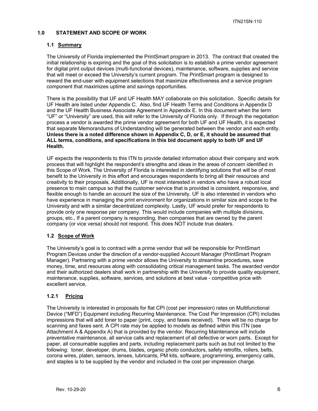## **1.0 STATEMENT AND SCOPE OF WORK**

#### **1.1 Summary**

The University of Florida implemented the PrintSmart program in 2013. The contract that created the initial relationship is expiring and the goal of this solicitation is to establish a prime vendor agreement for digital print output devices (multi-functional devices), maintenance, software, supplies and service that will meet or exceed the University's current program. The PrintSmart program is designed to reward the end-user with equipment selections that maximize effectiveness and a service program component that maximizes uptime and savings opportunities.

There is the possibility that UF and UF Health MAY collaborate on this solicitation. Specific details for UF Health are listed under Appendix C. Also, find UF Health Terms and Conditions in Appendix D and the UF Health Business Associate Agreement in Appendix E. In this document when the term "UF" or "University" are used, this will refer to the University of Florida only. If through the negotiation process a vendor is awarded the prime vendor agreement for both UF and UF Health, it is expected that separate Memorandums of Understanding will be generated between the vendor and each entity. **Unless there is a noted difference shown in Appendix C, D, or E, it should be assumed that ALL terms, conditions, and specifications in this bid document apply to both UF and UF Health.**

UF expects the respondents to this ITN to provide detailed information about their company and work process that will highlight the respondent's strengths and ideas in the areas of concern identified in this Scope of Work. The University of Florida is interested in identifying solutions that will be of most benefit to the University in this effort and encourages respondents to bring all their resources and creativity to their proposals. Additionally, UF is most interested in vendors who have a robust local presence to main campus so that the customer service that is provided is consistent, responsive, and flexible enough to handle an account the size of the University. UF is also interested in vendors who have experience in managing the print environment for organizations in similar size and scope to the University and with a similar decentralized complexity. Lastly, UF would prefer for respondents to provide only one response per company. This would include companies with multiple divisions, groups, etc., If a parent company is responding, then companies that are owned by the parent company (or vice versa) should not respond. This does NOT include true dealers.

#### **1.2 Scope of Work**

The University's goal is to contract with a prime vendor that will be responsible for PrintSmart Program Devices under the direction of a vendor-supplied Account Manager (PrintSmart Program Manager). Partnering with a prime vendor allows the University to streamline procedures, save money, time, and resources along with consolidating critical management tasks. The awarded vendor and their authorized dealers shall work in partnership with the University to provide quality equipment, maintenance, supplies, software, services, and solutions at best value - competitive price with excellent service.

## **1.2.1 Pricing**

The University is interested in proposals for flat CPI (cost per impression) rates on Multifunctional Device ("MFD") Equipment including Recurring Maintenance. The Cost Per Impression (CPI) includes impressions that will add toner to paper (print, copy, and faxes received). There will be no charge for scanning and faxes sent. A CPI rate may be applied to models as defined within this ITN (see Attachment A & Appendix A) that is provided by the vendor. Recurring Maintenance will include preventative maintenance, all service calls and replacement of all defective or worn parts. Except for paper, all consumable supplies and parts, including replacement parts such as but not limited to the following: toner, developer, drums, blades, organic photo conductors, safety retrofits, rollers, belts, corona wires, platen, sensors, lenses, lubricants, PM kits, software, programming, emergency calls, and staples is to be supplied by the vendor and included in the cost per impression charge.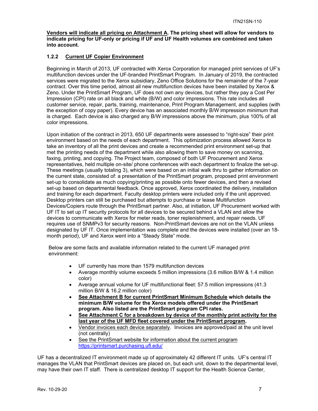**Vendors will indicate all pricing on Attachment A. The pricing sheet will allow for vendors to indicate pricing for UF-only or pricing if UF and UF Health volumes are combined and taken into account.** 

## **1.2.2 Current UF Copier Environment**

Beginning in March of 2013, UF contracted with Xerox Corporation for managed print services of UF's multifunction devices under the UF-branded PrintSmart Program. In January of 2019, the contracted services were migrated to the Xerox subsidiary, Zeno Office Solutions for the remainder of the 7-year contract. Over this time period, almost all new multifunction devices have been installed by Xerox & Zeno. Under the PrintSmart Program, UF does not own any devices, but rather they pay a Cost Per Impression (CPI) rate on all black and white (B/W) and color impressions. This rate includes all customer service, repair, parts, training, maintenance, Print Program Management, and supplies (with the exception of copy paper). Every device has an associated monthly B/W impression minimum that is charged. Each device is also charged any B/W impressions above the minimum, plus 100% of all color impressions.

Upon initiation of the contract in 2013, 650 UF departments were assessed to "right-size" their print environment based on the needs of each department. This optimization process allowed Xerox to take an inventory of all the print devices and create a recommended print environment set-up that met the printing needs of the department while also allowing them to save money on scanning, faxing, printing, and copying. The Project team, composed of both UF Procurement and Xerox representatives, held multiple on-site/ phone conferences with each department to finalize the set-up. These meetings (usually totaling 3), which were based on an initial walk thru to gather information on the current state, consisted of: a presentation of the PrintSmart program, proposed print environment set-up to consolidate as much copying/printing as possible onto fewer devices, and then a revised set-up based on departmental feedback. Once approved, Xerox coordinated the delivery, installation and training for each department. Faculty desktop printers were included only if the unit approved. Desktop printers can still be purchased but attempts to purchase or lease Multifunction Devices/Copiers route through the PrintSmart partner. Also, at initiation, UF Procurement worked with UF IT to set up IT security protocols for all devices to be secured behind a VLAN and allow the devices to communicate with Xerox for meter reads, toner replenishment, and repair needs. UF requires use of SNMPv3 for security reasons. Non-PrintSmart devices are not on the VLAN unless designated by UF IT. Once implementation was complete and the devices were installed (over an 18 month period), UF and Xerox went into a "Steady State" mode.

Below are some facts and available information related to the current UF managed print environment:

- UF currently has more than 1579 multifunction devices
- Average monthly volume exceeds 5 million impressions (3.6 million B/W & 1.4 million color)
- Average annual volume for UF multifunctional fleet: 57.5 million impressions (41.3 million B/W & 16.2 million color)
- **See Attachment B for current PrintSmart Minimum Schedule which details the minimum B/W volume for the Xerox models offered under the PrintSmart program. Also listed are the PrintSmart program CPI rates.**
- **See Attachment C for a breakdown by device of the monthly print activity for the last year of the UF MFD fleet covered under the PrintSmart program.**
- Vendor invoices each device separately. Invoices are approved/paid at the unit level (not centrally)
- See the PrintSmart website for information about the current program https://printsmart.purchasing.ufl.edu/

UF has a decentralized IT environment made up of approximately 42 different IT units. UF's central IT manages the VLAN that PrintSmart devices are placed on, but each unit, down to the departmental level, may have their own IT staff. There is centralized desktop IT support for the Health Science Center,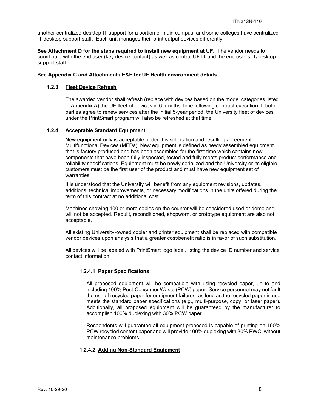another centralized desktop IT support for a portion of main campus, and some colleges have centralized IT desktop support staff. Each unit manages their print output devices differently.

**See Attachment D for the steps required to install new equipment at UF.** The vendor needs to coordinate with the end user (key device contact) as well as central UF IT and the end user's IT/desktop support staff.

#### **See Appendix C and Attachments E&F for UF Health environment details.**

#### **1.2.3 Fleet Device Refresh**

The awarded vendor shall refresh (replace with devices based on the model categories listed in Appendix A) the UF fleet of devices in 6 months' time following contract execution. If both parties agree to renew services after the initial 5-year period, the University fleet of devices under the PrintSmart program will also be refreshed at that time.

#### **1.2.4 Acceptable Standard Equipment**

New equipment only is acceptable under this solicitation and resulting agreement Multifunctional Devices (MFDs). New equipment is defined as newly assembled equipment that is factory produced and has been assembled for the first time which contains new components that have been fully inspected, tested and fully meets product performance and reliability specifications. Equipment must be newly serialized and the University or its eligible customers must be the first user of the product and must have new equipment set of warranties.

It is understood that the University will benefit from any equipment revisions, updates, additions, technical improvements, or necessary modifications in the units offered during the term of this contract at no additional cost.

Machines showing 100 or more copies on the counter will be considered used or demo and will not be accepted. Rebuilt, reconditioned, shopworn, or prototype equipment are also not acceptable.

All existing University-owned copier and printer equipment shall be replaced with compatible vendor devices upon analysis that a greater cost/benefit ratio is in favor of such substitution.

All devices will be labeled with PrintSmart logo label, listing the device ID number and service contact information.

#### **1.2.4.1 Paper Specifications**

All proposed equipment will be compatible with using recycled paper, up to and including 100% Post-Consumer Waste (PCW) paper. Service personnel may not fault the use of recycled paper for equipment failures, as long as the recycled paper in use meets the standard paper specifications (e.g., multi-purpose, copy, or laser paper). Additionally, all proposed equipment will be guaranteed by the manufacturer to accomplish 100% duplexing with 30% PCW paper.

Respondents will guarantee all equipment proposed is capable of printing on 100% PCW recycled content paper and will provide 100% duplexing with 30% PWC, without maintenance problems.

#### **1.2.4.2 Adding Non-Standard Equipment**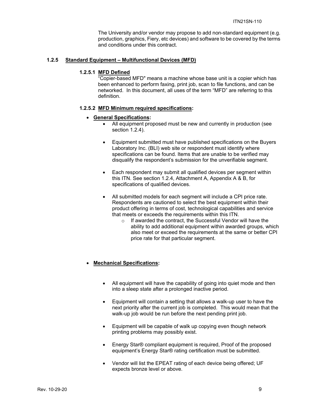The University and/or vendor may propose to add non-standard equipment (e.g. production, graphics, Fiery, etc devices) and software to be covered by the terms and conditions under this contract.

#### **1.2.5 Standard Equipment – Multifunctional Devices (MFD)**

#### **1.2.5.1 MFD Defined**

"Copier-based MFD" means a machine whose base unit is a copier which has been enhanced to perform faxing, print job, scan to file functions, and can be networked. In this document, all uses of the term "MFD" are referring to this definition.

#### **1.2.5.2 MFD Minimum required specifications:**

#### **General Specifications:**

- All equipment proposed must be new and currently in production (see section 1.2.4).
- Equipment submitted must have published specifications on the Buyers Laboratory Inc. (BLI) web site or respondent must identify where specifications can be found. Items that are unable to be verified may disqualify the respondent's submission for the unverifiable segment.
- Each respondent may submit all qualified devices per segment within this ITN. See section 1.2.4, Attachment A, Appendix A & B, for specifications of qualified devices.
- All submitted models for each segment will include a CPI price rate. Respondents are cautioned to select the best equipment within their product offering in terms of cost, technological capabilities and service that meets or exceeds the requirements within this ITN.
	- o If awarded the contract, the Successful Vendor will have the ability to add additional equipment within awarded groups, which also meet or exceed the requirements at the same or better CPI price rate for that particular segment.

#### **Mechanical Specifications:**

- All equipment will have the capability of going into quiet mode and then into a sleep state after a prolonged inactive period.
- Equipment will contain a setting that allows a walk-up user to have the next priority after the current job is completed. This would mean that the walk-up job would be run before the next pending print job.
- Equipment will be capable of walk up copying even though network printing problems may possibly exist.
- Energy Star® compliant equipment is required, Proof of the proposed equipment's Energy Star® rating certification must be submitted.
- Vendor will list the EPEAT rating of each device being offered; UF expects bronze level or above.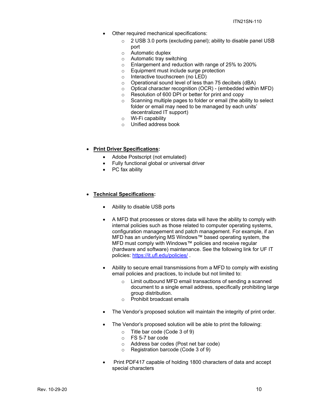- Other required mechanical specifications:
	- o 2 USB 3.0 ports (excluding panel); ability to disable panel USB port
	- o Automatic duplex
	- o Automatic tray switching
	- o Enlargement and reduction with range of 25% to 200%
	- o Equipment must include surge protection
	- o Interactive touchscreen (no LED)
	- o Operational sound level of less than 75 decibels (dBA)
	- o Optical character recognition (OCR) (embedded within MFD)
	- o Resolution of 600 DPI or better for print and copy
	- o Scanning multiple pages to folder or email (the ability to select folder or email may need to be managed by each units' decentralized IT support)
	- o Wi-Fi capability
	- o Unified address book
- **Print Driver Specifications:** 
	- Adobe Postscript (not emulated)
	- Fully functional global or universal driver
	- PC fax ability

#### **Technical Specifications:**

- Ability to disable USB ports
- A MFD that processes or stores data will have the ability to comply with internal policies such as those related to computer operating systems, configuration management and patch management. For example, if an MFD has an underlying MS Windows™ based operating system, the MFD must comply with Windows™ policies and receive regular (hardware and software) maintenance. See the following link for UF IT policies: https://it.ufl.edu/policies/ .
- Ability to secure email transmissions from a MFD to comply with existing email policies and practices, to include but not limited to:
	- o Limit outbound MFD email transactions of sending a scanned document to a single email address, specifically prohibiting large group distribution.
	- o Prohibit broadcast emails
- The Vendor's proposed solution will maintain the integrity of print order.
- The Vendor's proposed solution will be able to print the following:
	- o Title bar code (Code 3 of 9)
	- o FS 5-7 bar code
	- o Address bar codes (Post net bar code)
	- o Registration barcode (Code 3 of 9)
- Print PDF417 capable of holding 1800 characters of data and accept special characters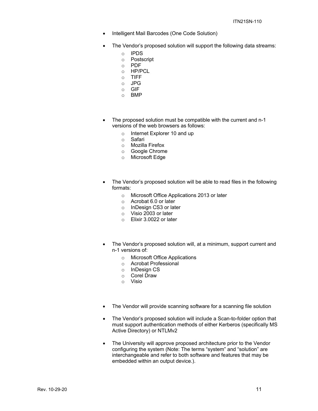- Intelligent Mail Barcodes (One Code Solution)
- The Vendor's proposed solution will support the following data streams:
	- o IPDS
	- o Postscript
	- o PDF
	- o HP/PCL
	- o TIFF
	- o JPG o GIF
	- o BMP
- The proposed solution must be compatible with the current and n-1 versions of the web browsers as follows:
	- o Internet Explorer 10 and up
	- o Safari
	- o Mozilla Firefox
	- o Google Chrome
	- o Microsoft Edge
- The Vendor's proposed solution will be able to read files in the following formats:
	- o Microsoft Office Applications 2013 or later
	- o Acrobat 6.0 or later
	- o InDesign CS3 or later
	- o Visio 2003 or later
	- o Elixir 3.0022 or later
- The Vendor's proposed solution will, at a minimum, support current and n-1 versions of:
	- o Microsoft Office Applications
	- o Acrobat Professional
	- o InDesign CS
	- o Corel Draw
	- o Visio
- The Vendor will provide scanning software for a scanning file solution
- The Vendor's proposed solution will include a Scan-to-folder option that must support authentication methods of either Kerberos (specifically MS Active Directory) or NTLMv2
- The University will approve proposed architecture prior to the Vendor configuring the system (Note: The terms "system" and "solution" are interchangeable and refer to both software and features that may be embedded within an output device.).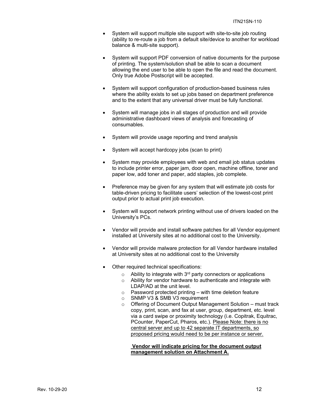- System will support multiple site support with site-to-site job routing (ability to re-route a job from a default site/device to another for workload balance & multi-site support).
- System will support PDF conversion of native documents for the purpose of printing. The system/solution shall be able to scan a document allowing the end user to be able to open the file and read the document. Only true Adobe Postscript will be accepted.
- System will support configuration of production-based business rules where the ability exists to set up jobs based on department preference and to the extent that any universal driver must be fully functional.
- System will manage jobs in all stages of production and will provide administrative dashboard views of analysis and forecasting of consumables.
- System will provide usage reporting and trend analysis
- System will accept hardcopy jobs (scan to print)
- System may provide employees with web and email job status updates to include printer error, paper jam, door open, machine offline, toner and paper low, add toner and paper, add staples, job complete.
- Preference may be given for any system that will estimate job costs for table-driven pricing to facilitate users' selection of the lowest-cost print output prior to actual print job execution.
- System will support network printing without use of drivers loaded on the University's PCs.
- Vendor will provide and install software patches for all Vendor equipment installed at University sites at no additional cost to the University.
- Vendor will provide malware protection for all Vendor hardware installed at University sites at no additional cost to the University
- Other required technical specifications:
	- $\circ$  Ability to integrate with 3<sup>rd</sup> party connectors or applications
	- o Ability for vendor hardware to authenticate and integrate with LDAP/AD at the unit level.
	- $\circ$  Password protected printing with time deletion feature
	- o SNMP V3 & SMB V3 requirement
	- $\circ$  Offering of Document Output Management Solution must track copy, print, scan, and fax at user, group, department, etc. level via a card swipe or proximity technology (i.e. Copitrak, Equitrac, PCounter, PaperCut, Pharos, etc.). Please Note: there is no central server and up to 42 separate IT departments, so proposed pricing would need to be per instance or server.

#### **Vendor will indicate pricing for the document output management solution on Attachment A.**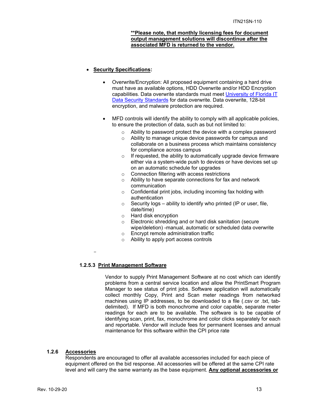#### **\*\*Please note, that monthly licensing fees for document output management solutions will discontinue after the associated MFD is returned to the vendor.**

#### **Security Specifications:**

- Overwrite/Encryption: All proposed equipment containing a hard drive must have as available options, HDD Overwrite and/or HDD Encryption capabilities. Data overwrite standards must meet University of Florida IT Data Security Standards for data overwrite. Data overwrite, 128-bit encryption, and malware protection are required.
- MFD controls will identify the ability to comply with all applicable policies, to ensure the protection of data, such as but not limited to:
	- o Ability to password protect the device with a complex password
	- o Ability to manage unique device passwords for campus and collaborate on a business process which maintains consistency for compliance across campus
	- $\circ$  If requested, the ability to automatically upgrade device firmware either via a system-wide push to devices or have devices set up on an automatic schedule for upgrades
	- o Connection filtering with access restrictions
	- o Ability to have separate connections for fax and network communication
	- o Confidential print jobs, including incoming fax holding with authentication
	- $\circ$  Security logs ability to identify who printed (IP or user, file, date/time)
	- o Hard disk encryption
	- o Electronic shredding and or hard disk sanitation (secure wipe/deletion) -manual, automatic or scheduled data overwrite
	- o Encrypt remote administration traffic
	- o Ability to apply port access controls

#### -

## **1.2.5.3 Print Management Software**

Vendor to supply Print Management Software at no cost which can identify problems from a central service location and allow the PrintSmart Program Manager to see status of print jobs. Software application will automatically collect monthly Copy, Print and Scan meter readings from networked machines using IP addresses, to be downloaded to a file (.csv or .txt, tabdelimited). If MFD is both monochrome and color capable, separate meter readings for each are to be available. The software is to be capable of identifying scan, print, fax, monochrome and color clicks separately for each and reportable. Vendor will include fees for permanent licenses and annual maintenance for this software within the CPI price rate

#### **1.2.6 Accessories**

Respondents are encouraged to offer all available accessories included for each piece of equipment offered on the bid response. All accessories will be offered at the same CPI rate level and will carry the same warranty as the base equipment. **Any optional accessories or**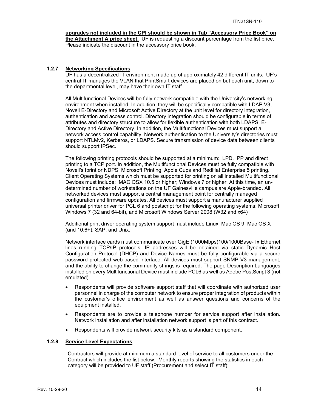#### **upgrades not included in the CPI should be shown in Tab "Accessory Price Book" on the Attachment A price sheet.** UF is requesting a discount percentage from the list price. Please indicate the discount in the accessory price book.

#### **1.2.7 Networking Specifications**

UF has a decentralized IT environment made up of approximately 42 different IT units. UF's central IT manages the VLAN that PrintSmart devices are placed on but each unit, down to the departmental level, may have their own IT staff.

All Multifunctional Devices will be fully network compatible with the University's networking environment when installed. In addition, they will be specifically compatible with LDAP V3, Novell E-Directory and Microsoft Active Directory at the unit level for directory integration, authentication and access control. Directory integration should be configurable in terms of attributes and directory structure to allow for flexible authentication with both LDAPS, E-Directory and Active Directory. In addition, the Multifunctional Devices must support a network access control capability. Network authentication to the University's directories must support NTLMv2, Kerberos, or LDAPS. Secure transmission of device data between clients should support IPSec.

The following printing protocols should be supported at a minimum: LPD, IPP and direct printing to a TCP port. In addition, the Multifunctional Devices must be fully compatible with Novell's Iprint or NDPS, Microsoft Printing, Apple Cups and RedHat Enterprise 5 printing. Client Operating Systems which must be supported for printing on all installed Multifunctional Devices must include: MAC OSX 10.5 or higher; Windows 7 or higher. At this time, an undetermined number of workstations on the UF Gainesville campus are Apple-branded. All networked devices must support a central management point for centrally managed configuration and firmware updates. All devices must support a manufacturer supplied universal printer driver for PCL 6 and postscript for the following operating systems: Microsoft Windows 7 (32 and 64-bit), and Microsoft Windows Server 2008 (W32 and x64)

Additional print driver operating system support must include Linux, Mac OS 9, Mac OS X (and 10.6+), SAP, and Unix.

Network interface cards must communicate over GigE (1000Mbps)100/1000Base-Tx Ethernet lines running TCP/IP protocols. IP addresses will be obtained via static Dynamic Host Configuration Protocol (DHCP) and Device Names must be fully configurable via a secure password protected web-based interface. All devices must support SNMP V3 management, and the ability to change the community strings is required. The page Description Languages installed on every Multifunctional Device must include PCL6 as well as Adobe PostScript 3 (not emulated).

- Respondents will provide software support staff that will coordinate with authorized user personnel in charge of the computer network to ensure proper integration of products within the customer's office environment as well as answer questions and concerns of the equipment installed.
- Respondents are to provide a telephone number for service support after installation. Network installation and after installation network support is part of this contract.
- Respondents will provide network security kits as a standard component.

#### **1.2.8 Service Level Expectations**

Contractors will provide at minimum a standard level of service to all customers under the Contract which includes the list below. Monthly reports showing the statistics in each category will be provided to UF staff (Procurement and select IT staff):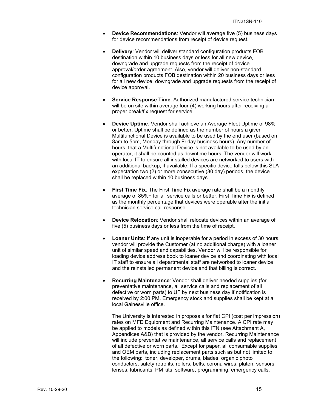- **Device Recommendations**: Vendor will average five (5) business days for device recommendations from receipt of device request.
- **Delivery**: Vendor will deliver standard configuration products FOB destination within 10 business days or less for all new device, downgrade and upgrade requests from the receipt of device approval/order agreement. Also, vendor will deliver non-standard configuration products FOB destination within 20 business days or less for all new device, downgrade and upgrade requests from the receipt of device approval.
- **Service Response Time**: Authorized manufactured service technician will be on site within average four (4) working hours after receiving a proper break/fix request for service.
- **Device Uptime**: Vendor shall achieve an Average Fleet Uptime of 98% or better. Uptime shall be defined as the number of hours a given Multifunctional Device is available to be used by the end user (based on 8am to 5pm, Monday through Friday business hours). Any number of hours, that a Multifunctional Device is not available to be used by an operator, it shall be counted as downtime hours. The vendor will work with local IT to ensure all installed devices are networked to users with an additional backup, if available. If a specific device falls below this SLA expectation two (2) or more consecutive (30 day) periods, the device shall be replaced within 10 business days.
- **First Time Fix**: The First Time Fix average rate shall be a monthly average of 85%+ for all service calls or better. First Time Fix is defined as the monthly percentage that devices were operable after the initial technician service call response.
- **Device Relocation**: Vendor shall relocate devices within an average of five (5) business days or less from the time of receipt.
- **Loaner Units**: If any unit is inoperable for a period in excess of 30 hours, vendor will provide the Customer (at no additional charge) with a loaner unit of similar speed and capabilities. Vendor will be responsible for loading device address book to loaner device and coordinating with local IT staff to ensure all departmental staff are networked to loaner device and the reinstalled permanent device and that billing is correct.
- **Recurring Maintenance**: Vendor shall deliver needed supplies (for preventative maintenance, all service calls and replacement of all defective or worn parts) to UF by next business day if notification is received by 2:00 PM. Emergency stock and supplies shall be kept at a local Gainesville office.

The University is interested in proposals for flat CPI (cost per impression) rates on MFD Equipment and Recurring Maintenance. A CPI rate may be applied to models as defined within this ITN (see Attachment A, Appendices A&B) that is provided by the vendor. Recurring Maintenance will include preventative maintenance, all service calls and replacement of all defective or worn parts. Except for paper, all consumable supplies and OEM parts, including replacement parts such as but not limited to the following: toner, developer, drums, blades, organic photo conductors, safety retrofits, rollers, belts, corona wires, platen, sensors, lenses, lubricants, PM kits, software, programming, emergency calls,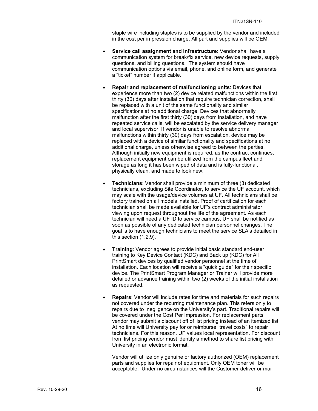staple wire including staples is to be supplied by the vendor and included in the cost per impression charge. All part and supplies will be OEM.

- **Service call assignment and infrastructure**: Vendor shall have a communication system for break/fix service, new device requests, supply questions, and billing questions. The system should have communication options via email, phone, and online form, and generate a "ticket" number if applicable.
- **Repair and replacement of malfunctioning units**: Devices that experience more than two (2) device related malfunctions within the first thirty (30) days after installation that require technician correction, shall be replaced with a unit of the same functionality and similar specifications at no additional charge. Devices that abnormally malfunction after the first thirty (30) days from installation, and have repeated service calls, will be escalated by the service delivery manager and local supervisor. If vendor is unable to resolve abnormal malfunctions within thirty (30) days from escalation, device may be replaced with a device of similar functionality and specifications at no additional charge, unless otherwise agreed to between the parties. Although initially new equipment is required, as the contract continues, replacement equipment can be utilized from the campus fleet and storage as long it has been wiped of data and is fully-functional, physically clean, and made to look new.
- **Technicians**: Vendor shall provide a minimum of three (3) dedicated technicians, excluding Site Coordinator, to service the UF account, which may scale with the usage/device volumes at UF. All technicians shall be factory trained on all models installed. Proof of certification for each technician shall be made available for UF's contract administrator viewing upon request throughout the life of the agreement. As each technician will need a UF ID to service campus, UF shall be notified as soon as possible of any dedicated technician personnel changes. The goal is to have enough technicians to meet the service SLA's detailed in this section (1.2.9).
- **Training**: Vendor agrees to provide initial basic standard end-user training to Key Device Contact (KDC) and Back up (KDC) for All PrintSmart devices by qualified vendor personnel at the time of installation. Each location will receive a "quick guide" for their specific device. The PrintSmart Program Manager or Trainer will provide more detailed or advance training within two (2) weeks of the initial installation as requested.
- **Repairs**: Vendor will include rates for time and materials for such repairs not covered under the recurring maintenance plan. This refers only to repairs due to negligence on the University's part. Traditional repairs will be covered under the Cost Per Impression. For replacement parts vendor may submit a discount off of list pricing instead of an itemized list. At no time will University pay for or reimburse "travel costs" to repair technicians. For this reason, UF values local representation. For discount from list pricing vendor must identify a method to share list pricing with University in an electronic format.

Vendor will utilize only genuine or factory authorized (OEM) replacement parts and supplies for repair of equipment. Only OEM toner will be acceptable. Under no circumstances will the Customer deliver or mail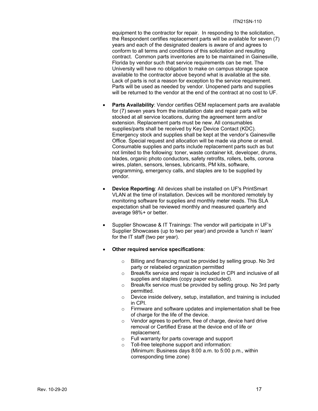equipment to the contractor for repair. In responding to the solicitation, the Respondent certifies replacement parts will be available for seven (7) years and each of the designated dealers is aware of and agrees to conform to all terms and conditions of this solicitation and resulting contract. Common parts inventories are to be maintained in Gainesville, Florida by vendor such that service requirements can be met. The University will have no obligation to make on campus storage space available to the contractor above beyond what is available at the site. Lack of parts is not a reason for exception to the service requirement. Parts will be used as needed by vendor. Unopened parts and supplies will be returned to the vendor at the end of the contract at no cost to UF.

- **Parts Availability**: Vendor certifies OEM replacement parts are available for (7) seven years from the installation date and repair parts will be stocked at all service locations, during the agreement term and/or extension. Replacement parts must be new. All consumables supplies/parts shall be received by Key Device Contact (KDC). Emergency stock and supplies shall be kept at the vendor's Gainesville Office. Special request and allocation will be made via phone or email. Consumable supplies and parts include replacement parts such as but not limited to the following: toner, waste container kit, developer, drums, blades, organic photo conductors, safety retrofits, rollers, belts, corona wires, platen, sensors, lenses, lubricants, PM kits, software, programming, emergency calls, and staples are to be supplied by vendor.
- **Device Reporting**: All devices shall be installed on UF's PrintSmart VLAN at the time of installation. Devices will be monitored remotely by monitoring software for supplies and monthly meter reads. This SLA expectation shall be reviewed monthly and measured quarterly and average 98%+ or better.
- Supplier Showcase & IT Trainings: The vendor will participate in UF's Supplier Showcases (up to two per year) and provide a 'lunch n' learn' for the IT staff (two per year).
- **Other required service specifications**:
	- o Billing and financing must be provided by selling group. No 3rd party or relabeled organization permitted
	- o Break/fix service and repair is included in CPI and inclusive of all supplies and staples (copy paper excluded).
	- o Break/fix service must be provided by selling group. No 3rd party permitted.
	- o Device inside delivery, setup, installation, and training is included in CPI.
	- o Firmware and software updates and implementation shall be free of charge for the life of the device.
	- o Vendor agrees to perform, free of charge, device hard drive removal or Certified Erase at the device end of life or replacement.
	- o Full warranty for parts coverage and support
	- o Toll-free telephone support and information: (Minimum: Business days 8:00 a.m. to 5:00 p.m., within corresponding time zone)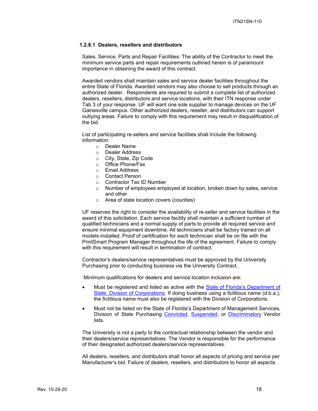#### **1.2.8.1 Dealers, resellers and distributors**

Sales, Service, Parts and Repair Facilities: The ability of the Contractor to meet the minimum service parts and repair requirements outlined herein is of paramount importance in obtaining the award of this contract.

Awarded vendors shall maintain sales and service dealer facilities throughout the entire State of Florida. Awarded vendors may also choose to sell products through an authorized dealer. Respondents are required to submit a complete list of authorized dealers, resellers, distributors and service locations, with their ITN response under Tab 3 of your response. UF will want one sole supplier to manage devices on the UF Gainesville campus. Other authorized dealers, reseller, and distributors can support outlying areas. Failure to comply with this requirement may result in disqualification of the bid.

List of participating re-sellers and service facilities shall include the following information:

- o Dealer Name
- o Dealer Address
- o City, State, Zip Code
- o Office Phone/Fax
- o Email Address
- o Contact Person
- o Contractor Tax ID Number
- $\circ$  Number of employees employed at location, broken down by sales, service and other
- o Area of state location covers (counties)

UF reserves the right to consider the availability of re-seller and service facilities in the award of this solicitation. Each service facility shall maintain a sufficient number of qualified technicians and a normal supply of parts to provide all required service and ensure minimal equipment downtime. All technicians shall be factory trained on all models installed. Proof of certification for each technician shall be on file with the PrintSmart Program Manager throughout the life of the agreement. Failure to comply with this requirement will result in termination of contract.

Contractor's dealers/service representatives must be approved by the University Purchasing prior to conducting business via the University Contract.

Minimum qualifications for dealers and service location inclusion are:

- Must be registered and listed as active with the State of Florida's Department of State, Division of Corporations. If doing business using a fictitious name (d.b.a.), the fictitious name must also be registered with the Division of Corporations.
- Must not be listed on the State of Florida's Department of Management Services, Division of State Purchasing Convicted, Suspended, or Discriminatory Vendor lists.

The University is not a party to the contractual relationship between the vendor and their dealers/service representatives. The Vendor is responsible for the performance of their designated authorized dealers/service representatives.

All dealers, resellers, and distributors shall honor all aspects of pricing and service per Manufacturer's bid. Failure of dealers, resellers, and distributors to honor all aspects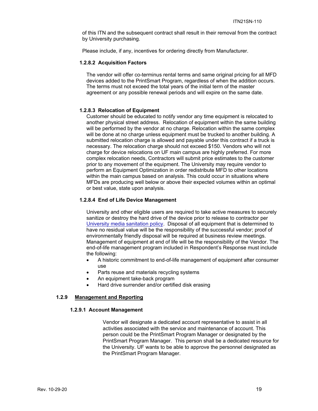of this ITN and the subsequent contract shall result in their removal from the contract by University purchasing.

Please include, if any, incentives for ordering directly from Manufacturer.

#### **1.2.8.2 Acquisition Factors**

The vendor will offer co-terminus rental terms and same original pricing for all MFD devices added to the PrintSmart Program, regardless of when the addition occurs. The terms must not exceed the total years of the initial term of the master agreement or any possible renewal periods and will expire on the same date.

#### **1.2.8.3 Relocation of Equipment**

Customer should be educated to notify vendor any time equipment is relocated to another physical street address. Relocation of equipment within the same building will be performed by the vendor at no charge. Relocation within the same complex will be done at no charge unless equipment must be trucked to another building. A submitted relocation charge is allowed and payable under this contract if a truck is necessary. The relocation charge should not exceed \$150. Vendors who will not charge for device relocations on UF main campus are highly preferred. For more complex relocation needs, Contractors will submit price estimates to the customer prior to any movement of the equipment. The University may require vendor to perform an Equipment Optimization in order redistribute MFD to other locations within the main campus based on analysis. This could occur in situations where MFDs are producing well below or above their expected volumes within an optimal or best value, state upon analysis.

#### **1.2.8.4 End of Life Device Management**

University and other eligible users are required to take active measures to securely sanitize or destroy the hard drive of the device prior to release to contractor per University media sanitation policy. Disposal of all equipment that is determined to have no residual value will be the responsibility of the successful vendor; proof of environmentally friendly disposal will be required at business review meetings. Management of equipment at end of life will be the responsibility of the Vendor. The end-of-life management program included in Respondent's Response must include the following:

- A historic commitment to end-of-life management of equipment after consumer use
- Parts reuse and materials recycling systems
- An equipment take-back program
- Hard drive surrender and/or certified disk erasing

#### **1.2.9 Management and Reporting**

#### **1.2.9.1 Account Management**

Vendor will designate a dedicated account representative to assist in all activities associated with the service and maintenance of account. This person could be the PrintSmart Program Manager or designated by the PrintSmart Program Manager. This person shall be a dedicated resource for the University. UF wants to be able to approve the personnel designated as the PrintSmart Program Manager.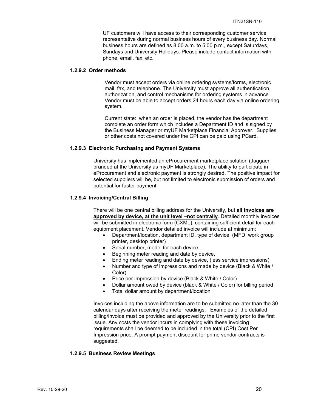UF customers will have access to their corresponding customer service representative during normal business hours of every business day. Normal business hours are defined as 8:00 a.m. to 5:00 p.m., except Saturdays, Sundays and University Holidays. Please include contact information with phone, email, fax, etc.

#### **1.2.9.2 Order methods**

Vendor must accept orders via online ordering systems/forms, electronic mail, fax, and telephone. The University must approve all authentication, authorization, and control mechanisms for ordering systems in advance. Vendor must be able to accept orders 24 hours each day via online ordering system.

Current state: when an order is placed, the vendor has the department complete an order form which includes a Department ID and is signed by the Business Manager or myUF Marketplace Financial Approver. Supplies or other costs not covered under the CPI can be paid using PCard.

## **1.2.9.3 Electronic Purchasing and Payment Systems**

University has implemented an eProcurement marketplace solution (Jaggaer branded at the University as myUF Marketplace). The ability to participate in eProcurement and electronic payment is strongly desired. The positive impact for selected suppliers will be, but not limited to electronic submission of orders and potential for faster payment.

#### **1.2.9.4 Invoicing/Central Billing**

There will be one central billing address for the University, but **all invoices are approved by device, at the unit level –not centrally**. Detailed monthly invoices will be submitted in electronic form (CXML), containing sufficient detail for each equipment placement. Vendor detailed invoice will include at minimum:

- Department/location, department ID, type of device, (MFD, work group printer, desktop printer)
- Serial number, model for each device
- Beginning meter reading and date by device,
- Ending meter reading and date by device, (less service impressions)
- Number and type of impressions and made by device (Black & White / Color)
- Price per impression by device (Black & White / Color)
- Dollar amount owed by device (black & White / Color) for billing period
- Total dollar amount by department/location

Invoices including the above information are to be submitted no later than the 30 calendar days after receiving the meter readings. . Examples of the detailed billing/invoice must be provided and approved by the University prior to the first issue. Any costs the vendor incurs in complying with these invoicing requirements shall be deemed to be included in the total (CPI) Cost Per Impression price. A prompt payment discount for prime vendor contracts is suggested.

#### **1.2.9.5 Business Review Meetings**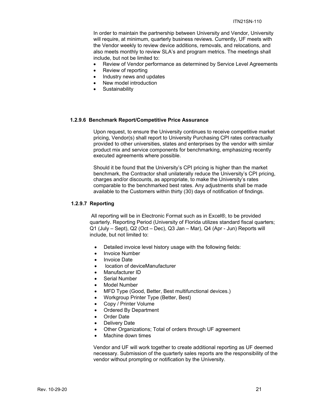In order to maintain the partnership between University and Vendor, University will require, at minimum, quarterly business reviews. Currently, UF meets with the Vendor weekly to review device additions, removals, and relocations, and also meets monthly to review SLA's and program metrics. The meetings shall include, but not be limited to:

- Review of Vendor performance as determined by Service Level Agreements
- Review of reporting
- Industry news and updates
- New model introduction
- Sustainability

#### **1.2.9.6 Benchmark Report/Competitive Price Assurance**

Upon request, to ensure the University continues to receive competitive market pricing, Vendor(s) shall report to University Purchasing CPI rates contractually provided to other universities, states and enterprises by the vendor with similar product mix and service components for benchmarking, emphasizing recently executed agreements where possible.

Should it be found that the University's CPI pricing is higher than the market benchmark, the Contractor shall unilaterally reduce the University's CPI pricing, charges and/or discounts, as appropriate, to make the University's rates comparable to the benchmarked best rates. Any adjustments shall be made available to the Customers within thirty (30) days of notification of findings.

#### **1.2.9.7 Reporting**

 All reporting will be in Electronic Format such as in Excel®, to be provided quarterly. Reporting Period (University of Florida utilizes standard fiscal quarters; Q1 (July – Sept), Q2 (Oct – Dec), Q3 Jan – Mar), Q4 (Apr - Jun) Reports will include, but not limited to:

- Detailed invoice level history usage with the following fields:
- Invoice Number
- Invoice Date
- location of deviceManufacturer
- Manufacturer ID
- Serial Number
- Model Number
- MFD Type (Good, Better, Best multifunctional devices.)
- Workgroup Printer Type (Better, Best)
- Copy / Printer Volume
- Ordered By Department
- Order Date
- Delivery Date
- Other Organizations; Total of orders through UF agreement
- Machine down times

Vendor and UF will work together to create additional reporting as UF deemed necessary. Submission of the quarterly sales reports are the responsibility of the vendor without prompting or notification by the University.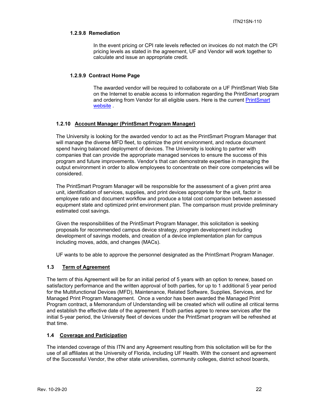#### **1.2.9.8 Remediation**

In the event pricing or CPI rate levels reflected on invoices do not match the CPI pricing levels as stated in the agreement, UF and Vendor will work together to calculate and issue an appropriate credit.

#### **1.2.9.9 Contract Home Page**

The awarded vendor will be required to collaborate on a UF PrintSmart Web Site on the Internet to enable access to information regarding the PrintSmart program and ordering from Vendor for all eligible users. Here is the current PrintSmart website .

#### **1.2.10 Account Manager (PrintSmart Program Manager)**

The University is looking for the awarded vendor to act as the PrintSmart Program Manager that will manage the diverse MFD fleet, to optimize the print environment, and reduce document spend having balanced deployment of devices. The University is looking to partner with companies that can provide the appropriate managed services to ensure the success of this program and future improvements. Vendor's that can demonstrate expertise in managing the output environment in order to allow employees to concentrate on their core competencies will be considered.

The PrintSmart Program Manager will be responsible for the assessment of a given print area unit, identification of services, supplies, and print devices appropriate for the unit, factor in employee ratio and document workflow and produce a total cost comparison between assessed equipment state and optimized print environment plan. The comparison must provide preliminary estimated cost savings.

Given the responsibilities of the PrintSmart Program Manager, this solicitation is seeking proposals for recommended campus device strategy, program development including development of savings models, and creation of a device implementation plan for campus including moves, adds, and changes (MACs).

UF wants to be able to approve the personnel designated as the PrintSmart Program Manager.

## **1.3 Term of Agreement**

The term of this Agreement will be for an initial period of 5 years with an option to renew, based on satisfactory performance and the written approval of both parties, for up to 1 additional 5 year period for the Multifunctional Devices (MFD), Maintenance, Related Software, Supplies, Services, and for Managed Print Program Management. Once a vendor has been awarded the Managed Print Program contract, a Memorandum of Understanding will be created which will outline all critical terms and establish the effective date of the agreement. If both parties agree to renew services after the initial 5-year period, the University fleet of devices under the PrintSmart program will be refreshed at that time.

#### **1.4 Coverage and Participation**

The intended coverage of this ITN and any Agreement resulting from this solicitation will be for the use of all affiliates at the University of Florida, including UF Health. With the consent and agreement of the Successful Vendor, the other state universities, community colleges, district school boards,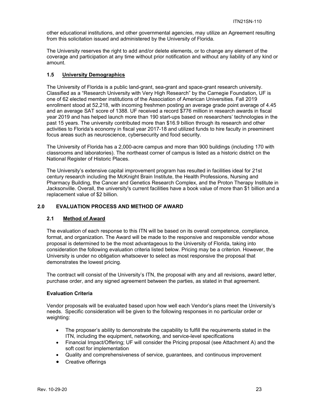other educational institutions, and other governmental agencies, may utilize an Agreement resulting from this solicitation issued and administered by the University of Florida.

The University reserves the right to add and/or delete elements, or to change any element of the coverage and participation at any time without prior notification and without any liability of any kind or amount.

## **1.5 University Demographics**

The University of Florida is a public land-grant, sea-grant and space-grant research university. Classified as a "Research University with Very High Research" by the Carnegie Foundation, UF is one of 62 elected member institutions of the Association of American Universities. Fall 2019 enrollment stood at 52,218, with incoming freshmen posting an average grade point average of 4.45 and an average SAT score of 1388. UF received a record \$776 million in research awards in fiscal year 2019 and has helped launch more than 190 start-ups based on researchers' technologies in the past 15 years. The university contributed more than \$16.9 billion through its research and other activities to Florida's economy in fiscal year 2017-18 and utilized funds to hire faculty in preeminent focus areas such as neuroscience, cybersecurity and food security.

The University of Florida has a 2,000-acre campus and more than 900 buildings (including 170 with classrooms and laboratories). The northeast corner of campus is listed as a historic district on the National Register of Historic Places.

The University's extensive capital improvement program has resulted in facilities ideal for 21st century research including the McKnight Brain Institute, the Health Professions, Nursing and Pharmacy Building, the Cancer and Genetics Research Complex, and the Proton Therapy Institute in Jacksonville. Overall, the university's current facilities have a book value of more than \$1 billion and a replacement value of \$2 billion.

#### **2.0 EVALUATION PROCESS AND METHOD OF AWARD**

#### **2.1 Method of Award**

The evaluation of each response to this ITN will be based on its overall competence, compliance, format, and organization. The Award will be made to the responsive and responsible vendor whose proposal is determined to be the most advantageous to the University of Florida, taking into consideration the following evaluation criteria listed below. Pricing may be a criterion. However, the University is under no obligation whatsoever to select as most responsive the proposal that demonstrates the lowest pricing.

The contract will consist of the University's ITN, the proposal with any and all revisions, award letter, purchase order, and any signed agreement between the parties, as stated in that agreement.

#### **Evaluation Criteria**

Vendor proposals will be evaluated based upon how well each Vendor's plans meet the University's needs. Specific consideration will be given to the following responses in no particular order or weighting:

- The proposer's ability to demonstrate the capability to fulfill the requirements stated in the ITN, including the equipment, networking, and service-level specifications
- Financial Impact/Offering; UF will consider the Pricing proposal (see Attachment A) and the soft cost for implementation
- Quality and comprehensiveness of service, guarantees, and continuous improvement
- Creative offerings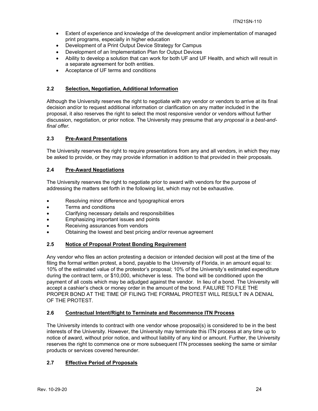- Extent of experience and knowledge of the development and/or implementation of managed print programs, especially in higher education
- Development of a Print Output Device Strategy for Campus
- Development of an Implementation Plan for Output Devices
- Ability to develop a solution that can work for both UF and UF Health, and which will result in a separate agreement for both entities.
- Acceptance of UF terms and conditions

## **2.2 Selection, Negotiation, Additional Information**

Although the University reserves the right to negotiate with any vendor or vendors to arrive at its final decision and/or to request additional information or clarification on any matter included in the proposal, it also reserves the right to select the most responsive vendor or vendors without further discussion, negotiation, or prior notice. The University may presume that *any proposal is a best-andfinal offer.* 

## **2.3 Pre-Award Presentations**

The University reserves the right to require presentations from any and all vendors, in which they may be asked to provide, or they may provide information in addition to that provided in their proposals.

## **2.4 Pre-Award Negotiations**

The University reserves the right to negotiate prior to award with vendors for the purpose of addressing the matters set forth in the following list, which may not be exhaustive.

- Resolving minor difference and typographical errors
- Terms and conditions
- Clarifying necessary details and responsibilities
- Emphasizing important issues and points
- Receiving assurances from vendors
- Obtaining the lowest and best pricing and/or revenue agreement

## **2.5 Notice of Proposal Protest Bonding Requirement**

Any vendor who files an action protesting a decision or intended decision will post at the time of the filing the formal written protest, a bond, payable to the University of Florida, in an amount equal to: 10% of the estimated value of the protestor's proposal; 10% of the University's estimated expenditure during the contract term, or \$10,000, whichever is less. The bond will be conditioned upon the payment of all costs which may be adjudged against the vendor. In lieu of a bond. The University will accept a cashier's check or money order in the amount of the bond. FAILURE TO FILE THE PROPER BOND AT THE TIME OF FILING THE FORMAL PROTEST WILL RESULT IN A DENIAL OF THE PROTEST.

## **2.6 Contractual Intent/Right to Terminate and Recommence ITN Process**

The University intends to contract with one vendor whose proposal(s) is considered to be in the best interests of the University. However, the University may terminate this ITN process at any time up to notice of award, without prior notice, and without liability of any kind or amount. Further, the University reserves the right to commence one or more subsequent ITN processes seeking the same or similar products or services covered hereunder.

## **2.7 Effective Period of Proposals**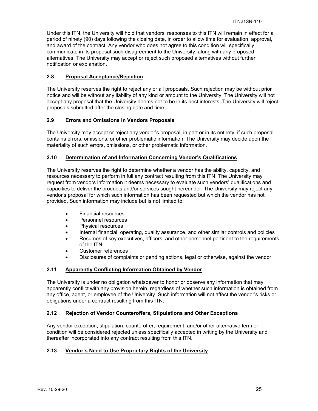Under this ITN, the University will hold that vendors' responses to this ITN will remain in effect for a period of ninety (90) days following the closing date, in order to allow time for evaluation, approval, and award of the contract. Any vendor who does not agree to this condition will specifically communicate in its proposal such disagreement to the University, along with any proposed alternatives. The University may accept or reject such proposed alternatives without further notification or explanation.

## **2.8 Proposal Acceptance/Rejection**

The University reserves the right to reject any or all proposals. Such rejection may be without prior notice and will be without any liability of any kind or amount to the University. The University will not accept any proposal that the University deems not to be in its best interests. The University will reject proposals submitted after the closing date and time.

## **2.9 Errors and Omissions in Vendors Proposals**

The University may accept or reject any vendor's proposal, in part or in its entirety, if such proposal contains errors, omissions, or other problematic information. The University may decide upon the materiality of such errors, omissions, or other problematic information.

#### **2.10 Determination of and Information Concerning Vendor's Qualifications**

The University reserves the right to determine whether a vendor has the ability, capacity, and resources necessary to perform in full any contract resulting from this ITN. The University may request from vendors information it deems necessary to evaluate such vendors' qualifications and capacities to deliver the products and/or services sought hereunder. The University may reject any vendor's proposal for which such information has been requested but which the vendor has not provided. Such information may include but is not limited to:

- Financial resources
- Personnel resources
- Physical resources
- Internal financial, operating, quality assurance, and other similar controls and policies
- Resumes of key executives, officers, and other personnel pertinent to the requirements of the ITN
- Customer references
- Disclosures of complaints or pending actions, legal or otherwise, against the vendor

## **2.11 Apparently Conflicting Information Obtained by Vendor**

The University is under no obligation whatsoever to honor or observe any information that may apparently conflict with any provision herein, regardless of whether such information is obtained from any office, agent, or employee of the University. Such information will not affect the vendor's risks or obligations under a contract resulting from this ITN.

#### **2.12 Rejection of Vendor Counteroffers, Stipulations and Other Exceptions**

Any vendor exception, stipulation, counteroffer, requirement, and/or other alternative term or condition will be considered rejected unless specifically accepted in writing by the University and thereafter incorporated into any contract resulting from this ITN.

## **2.13 Vendor's Need to Use Proprietary Rights of the University**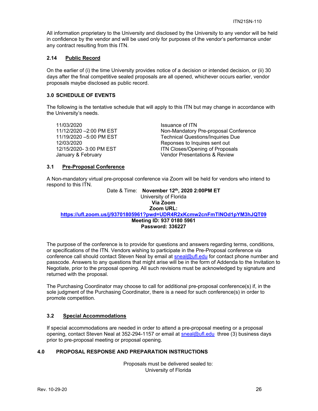All information proprietary to the University and disclosed by the University to any vendor will be held in confidence by the vendor and will be used only for purposes of the vendor's performance under any contract resulting from this ITN.

#### **2.14 Public Record**

On the earlier of (i) the time University provides notice of a decision or intended decision, or (ii) 30 days after the final competitive sealed proposals are all opened, whichever occurs earlier, vendor proposals maybe disclosed as public record.

#### **3.0 SCHEDULE OF EVENTS**

The following is the tentative schedule that will apply to this ITN but may change in accordance with the University's needs.

11/03/2020<br>11/12/2020 - 2:00 PM EST 11/12/2020 - 2:00 PM EST

Non-Mandatory Pre-proposal Conference 11/19/2020 –5:00 PM EST Technical Questions/Inquiries Due 12/03/2020<br>12/15/2020- 3:00 PM EST THE Reponses to Inquires sent out<br>12/15/2020- 3:00 PM EST THE REPONSITY REPONSITY ITN Closes/Opening of Proposals January & February **Vendor Presentations & Review** 

#### **3.1 Pre-Proposal Conference**

A Non-mandatory virtual pre-proposal conference via Zoom will be held for vendors who intend to respond to this ITN.

Date & Time: **November 12th, 2020 2:00PM ET** University of Florida **Via Zoom Zoom URL: https://ufl.zoom.us/j/93701805961?pwd=UDR4R2xKcmw2cnFmTlNOd1pYM3hJQT09 Meeting ID: 937 0180 5961 Password: 336227** 

The purpose of the conference is to provide for questions and answers regarding terms, conditions, or specifications of the ITN. Vendors wishing to participate in the Pre-Proposal conference via conference call should contact Steven Neal by email at sneal@ufl.edu for contact phone number and passcode. Answers to any questions that might arise will be in the form of Addenda to the Invitation to Negotiate, prior to the proposal opening. All such revisions must be acknowledged by signature and returned with the proposal.

The Purchasing Coordinator may choose to call for additional pre-proposal conference(s) if, in the sole judgment of the Purchasing Coordinator, there is a need for such conference(s) in order to promote competition.

#### **3.2 Special Accommodations**

If special accommodations are needed in order to attend a pre-proposal meeting or a proposal opening, contact Steven Neal at 352-294-1157 or email at sneal@ufl.edu three (3) business days prior to pre-proposal meeting or proposal opening.

#### **4.0 PROPOSAL RESPONSE AND PREPARATION INSTRUCTIONS**

Proposals must be delivered sealed to: University of Florida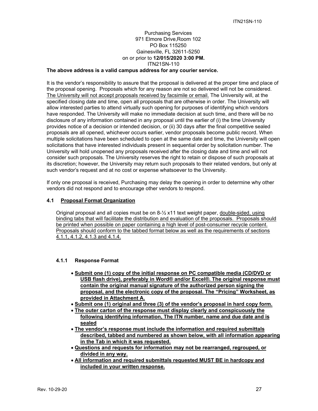## Purchasing Services 971 Elmore Drive,Room 102 PO Box 115250 Gainesville, FL 32611-5250 on or prior to **12/015/2020 3:00 PM.**  ITN21SN-110

## **The above address is a valid campus address for any courier service.**

It is the vendor's responsibility to assure that the proposal is delivered at the proper time and place of the proposal opening. Proposals which for any reason are not so delivered will not be considered. The University will not accept proposals received by facsimile or email. The University will, at the specified closing date and time, open all proposals that are otherwise in order. The University will allow interested parties to attend virtually such opening for purposes of identifying which vendors have responded. The University will make no immediate decision at such time, and there will be no disclosure of any information contained in any proposal until the earlier of (i) the time University provides notice of a decision or intended decision, or (ii) 30 days after the final competitive sealed proposals are all opened, whichever occurs earlier, vendor proposals become public record. When multiple solicitations have been scheduled to open at the same date and time, the University will open solicitations that have interested individuals present in sequential order by solicitation number. The University will hold unopened any proposals received after the closing date and time and will not consider such proposals. The University reserves the right to retain or dispose of such proposals at its discretion; however, the University may return such proposals to their related vendors, but only at such vendor's request and at no cost or expense whatsoever to the University.

If only one proposal is received, Purchasing may delay the opening in order to determine why other vendors did not respond and to encourage other vendors to respond.

#### **4.1 Proposal Format Organization**

Original proposal and all copies must be on  $8\frac{1}{2}$  x11 text weight paper, double-sided, using binding tabs that will facilitate the distribution and evaluation of the proposals. Proposals should be printed when possible on paper containing a high level of post-consumer recycle content. Proposals should conform to the tabbed format below as well as the requirements of sections 4.1.1, 4.1.2, 4.1.3 and 4.1.4.

#### **4.1.1 Response Format**

- **Submit one (1) copy of the initial response on PC compatible media (CD/DVD or USB flash drive), preferably in Word® and/or Excel®. The original response must contain the original manual signature of the authorized person signing the proposal, and the electronic copy of the proposal. The "Pricing" Worksheet, as provided in Attachment A.**
- **Submit one (1) original and three (3) of the vendor's proposal in hard copy form.**
- **The outer carton of the response must display clearly and conspicuously the following identifying information, The ITN number, name and due date and is sealed**
- **The vendor's response must include the information and required submittals described, tabbed and numbered as shown below, with all information appearing in the Tab in which it was requested.**
- **Questions and requests for information may not be rearranged, regrouped, or divided in any way.**
- **All information and required submittals requested MUST BE in hardcopy and included in your written response.**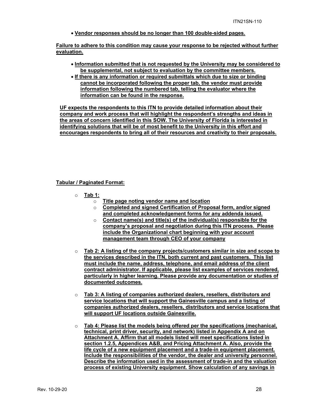**Vendor responses should be no longer than 100 double-sided pages.** 

**Failure to adhere to this condition may cause your response to be rejected without further evaluation.** 

- **Information submitted that is not requested by the University may be considered to be supplemental, not subject to evaluation by the committee members.**
- **If there is any information or required submittals which due to size or binding cannot be incorporated following the proper tab, the vendor must provide information following the numbered tab, telling the evaluator where the information can be found in the response.**

**UF expects the respondents to this ITN to provide detailed information about their company and work process that will highlight the respondent's strengths and ideas in the areas of concern identified in this SOW. The University of Florida is interested in identifying solutions that will be of most benefit to the University in this effort and encourages respondents to bring all of their resources and creativity to their proposals.** 

#### **Tabular / Paginated Format:**

- o **Tab 1:** 
	- o **Title page noting vendor name and location**
	- o **Completed and signed Certification of Proposal form, and/or signed and completed acknowledgement forms for any addenda issued.**
	- o **Contact name(s) and title(s) of the individual(s) responsible for the company's proposal and negotiation during this ITN process. Please include the Organizational chart beginning with your account management team through CEO of your company**
- o **Tab 2: A listing of the company projects/customers similar in size and scope to the services described in the ITN, both current and past customers. This list must include the name, address, telephone, and email address of the client contract administrator. If applicable, please list examples of services rendered, particularly in higher learning. Please provide any documentation or studies of documented outcomes.**
- o **Tab 3: A listing of companies authorized dealers, resellers, distributors and service locations that will support the Gainesville campus and a listing of companies authorized dealers, resellers, distributors and service locations that will support UF locations outside Gainesville.**
- o **Tab 4: Please list the models being offered per the specifications (mechanical, technical, print driver, security, and network) listed in Appendix A and on Attachment A. Affirm that all models listed will meet specifications listed in section 1.2.5, Appendices A&B, and Pricing Attachment A. Also, provide the life cycle of a new equipment placement and a trade-in equipment placement. Include the responsibilities of the vendor, the dealer and university personnel. Describe the information used in the assessment of trade-in and the valuation process of existing University equipment. Show calculation of any savings in**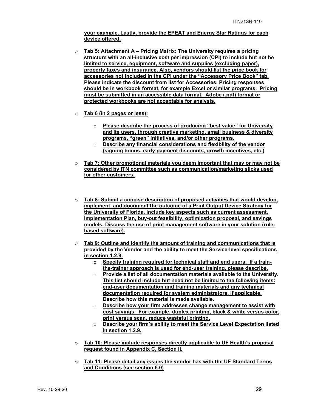**your example. Lastly, provide the EPEAT and Energy Star Ratings for each device offered.** 

- o **Tab 5: Attachment A Pricing Matrix: The University requires a pricing structure with an all-inclusive cost per impression (CPI) to include but not be limited to service, equipment, software and supplies (excluding paper), property taxes and insurance. Also, vendors should list the price book for accessories not included in the CPI under the "Accessory Price Book" tab. Please indicate the discount from list for Accessories. Pricing responses should be in workbook format, for example Excel or similar programs. Pricing must be submitted in an accessible data format. Adobe (.pdf) format or protected workbooks are not acceptable for analysis.**
- o **Tab 6 (in 2 pages or less):** 
	- o **Please describe the process of producing "best value" for University and its users, through creative marketing, small business & diversity programs, "green" initiatives, and/or other programs.**
	- o **Describe any financial considerations and flexibility of the vendor (signing bonus, early payment discounts, growth incentives, etc.)**
- o **Tab 7: Other promotional materials you deem important that may or may not be considered by ITN committee such as communication/marketing slicks used for other customers.**
- o **Tab 8: Submit a concise description of proposed activities that would develop, implement, and document the outcome of a Print Output Device Strategy for the University of Florida. Include key aspects such as current assessment, Implementation Plan, buy-out feasibility, optimization proposal, and savings models. Discuss the use of print management software in your solution (rulebased software).**
- o **Tab 9: Outline and identify the amount of training and communications that is provided by the Vendor and the ability to meet the Service-level specifications in section 1.2.9.** 
	- o **Specify training required for technical staff and end users. If a trainthe-trainer approach is used for end-user training, please describe.**
	- o **Provide a list of all documentation materials available to the University. This list should include but need not be limited to the following items: end-user documentation and training materials and any technical documentation required for system administrators, if applicable. Describe how this material is made available.**
	- o **Describe how your firm addresses change management to assist with cost savings. For example, duplex printing, black & white versus color, print versus scan, reduce wasteful printing.**
	- o **Describe your firm's ability to meet the Service Level Expectation listed in section 1.2.9.**
- o **Tab 10: Please include responses directly applicable to UF Health's proposal request found in Appendix C, Section II.**
- o **Tab 11: Please detail any issues the vendor has with the UF Standard Terms and Conditions (see section 6.0)**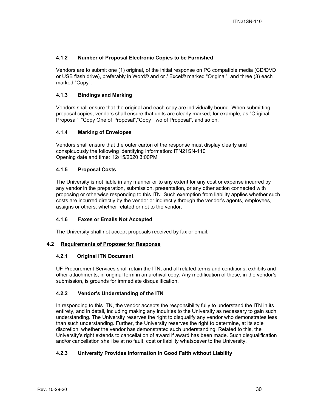## **4.1.2 Number of Proposal Electronic Copies to be Furnished**

Vendors are to submit one (1) original, of the initial response on PC compatible media (CD/DVD or USB flash drive), preferably in Word® and or / Excel® marked "Original", and three (3) each marked "Copy".

## **4.1.3 Bindings and Marking**

Vendors shall ensure that the original and each copy are individually bound. When submitting proposal copies, vendors shall ensure that units are clearly marked; for example, as "Original Proposal", "Copy One of Proposal","Copy Two of Proposal", and so on.

## **4.1.4 Marking of Envelopes**

Vendors shall ensure that the outer carton of the response must display clearly and conspicuously the following identifying information: ITN21SN-110 Opening date and time: 12/15/2020 3:00PM

## **4.1.5 Proposal Costs**

The University is not liable in any manner or to any extent for any cost or expense incurred by any vendor in the preparation, submission, presentation, or any other action connected with proposing or otherwise responding to this ITN. Such exemption from liability applies whether such costs are incurred directly by the vendor or indirectly through the vendor's agents, employees, assigns or others, whether related or not to the vendor.

## **4.1.6 Faxes or Emails Not Accepted**

The University shall not accept proposals received by fax or email.

## **4.2 Requirements of Proposer for Response**

## **4.2.1 Original ITN Document**

UF Procurement Services shall retain the ITN, and all related terms and conditions, exhibits and other attachments, in original form in an archival copy. Any modification of these, in the vendor's submission, is grounds for immediate disqualification.

## **4.2.2 Vendor's Understanding of the ITN**

In responding to this ITN, the vendor accepts the responsibility fully to understand the ITN in its entirety, and in detail, including making any inquiries to the University as necessary to gain such understanding. The University reserves the right to disqualify any vendor who demonstrates less than such understanding. Further, the University reserves the right to determine, at its sole discretion, whether the vendor has demonstrated such understanding. Related to this, the University's right extends to cancellation of award if award has been made. Such disqualification and/or cancellation shall be at no fault, cost or liability whatsoever to the University.

## **4.2.3 University Provides Information in Good Faith without Liability**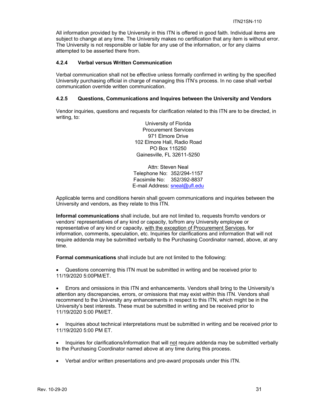All information provided by the University in this ITN is offered in good faith. Individual items are subject to change at any time. The University makes no certification that any item is without error. The University is not responsible or liable for any use of the information, or for any claims attempted to be asserted there from.

## **4.2.4 Verbal versus Written Communication**

Verbal communication shall not be effective unless formally confirmed in writing by the specified University purchasing official in charge of managing this ITN's process. In no case shall verbal communication override written communication.

#### **4.2.5 Questions, Communications and Inquires between the University and Vendors**

Vendor inquiries, questions and requests for clarification related to this ITN are to be directed, in writing, to:

> University of Florida Procurement Services 971 Elmore Drive 102 Elmore Hall, Radio Road PO Box 115250 Gainesville, FL 32611-5250

Attn: Steven Neal Telephone No: 352/294-1157 Facsimile No: 352/392-8837 E-mail Address: sneal@ufl.edu

Applicable terms and conditions herein shall govern communications and inquiries between the University and vendors, as they relate to this ITN.

**Informal communications** shall include, but are not limited to, requests from/to vendors or vendors' representatives of any kind or capacity, to/from any University employee or representative of any kind or capacity, with the exception of Procurement Services, for information, comments, speculation, etc. Inquiries for clarifications and information that will not require addenda may be submitted verbally to the Purchasing Coordinator named, above, at any time.

**Formal communications** shall include but are not limited to the following:

 Questions concerning this ITN must be submitted in writing and be received prior to 11/19/2020 5:00PM/ET.

 Errors and omissions in this ITN and enhancements. Vendors shall bring to the University's attention any discrepancies, errors, or omissions that may exist within this ITN. Vendors shall recommend to the University any enhancements in respect to this ITN, which might be in the University's best interests. These must be submitted in writing and be received prior to 11/19/2020 5:00 PM/ET.

• Inquiries about technical interpretations must be submitted in writing and be received prior to 11/19/2020 5:00 PM ET.

• Inquiries for clarifications/information that will not require addenda may be submitted verbally to the Purchasing Coordinator named above at any time during this process.

Verbal and/or written presentations and pre-award proposals under this ITN.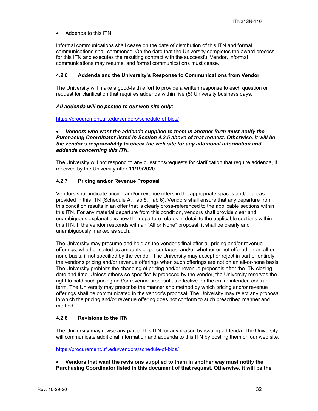Addenda to this ITN.

Informal communications shall cease on the date of distribution of this ITN and formal communications shall commence. On the date that the University completes the award process for this ITN and executes the resulting contract with the successful Vendor, informal communications may resume, and formal communications must cease.

#### **4.2.6 Addenda and the University's Response to Communications from Vendor**

The University will make a good-faith effort to provide a written response to each question or request for clarification that requires addenda within five (5) University business days.

#### *All addenda will be posted to our web site only:*

https://procurement.ufl.edu/vendors/schedule-of-bids/

#### *Vendors who want the addenda supplied to them in another form must notify the Purchasing Coordinator listed in Section 4.2.5 above of that request. Otherwise, it will be the vendor's responsibility to check the web site for any additional information and addenda concerning this ITN.*

The University will not respond to any questions/requests for clarification that require addenda, if received by the University after **11/19/2020**.

#### **4.2.7 Pricing and/or Revenue Proposal**

Vendors shall indicate pricing and/or revenue offers in the appropriate spaces and/or areas provided in this ITN (Schedule A, Tab 5, Tab 6). Vendors shall ensure that any departure from this condition results in an offer that is clearly cross-referenced to the applicable sections within this ITN. For any material departure from this condition, vendors shall provide clear and unambiguous explanations how the departure relates in detail to the applicable sections within this ITN. If the vendor responds with an "All or None" proposal, it shall be clearly and unambiguously marked as such.

The University may presume and hold as the vendor's final offer all pricing and/or revenue offerings, whether stated as amounts or percentages, and/or whether or not offered on an all-ornone basis, if not specified by the vendor. The University may accept or reject in part or entirely the vendor's pricing and/or revenue offerings when such offerings are not on an all-or-none basis. The University prohibits the changing of pricing and/or revenue proposals after the ITN closing date and time. Unless otherwise specifically proposed by the vendor, the University reserves the right to hold such pricing and/or revenue proposal as effective for the entire intended contract term. The University may prescribe the manner and method by which pricing and/or revenue offerings shall be communicated in the vendor's proposal. The University may reject any proposal in which the pricing and/or revenue offering does not conform to such prescribed manner and method.

#### **4.2.8 Revisions to the ITN**

The University may revise any part of this ITN for any reason by issuing addenda. The University will communicate additional information and addenda to this ITN by posting them on our web site.

https://procurement.ufl.edu/vendors/schedule-of-bids/

 **Vendors that want the revisions supplied to them in another way must notify the Purchasing Coordinator listed in this document of that request. Otherwise, it will be the**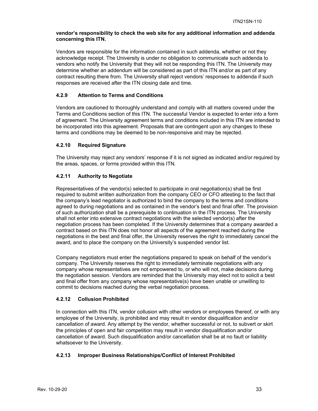#### **vendor's responsibility to check the web site for any additional information and addenda concerning this ITN.**

Vendors are responsible for the information contained in such addenda, whether or not they acknowledge receipt. The University is under no obligation to communicate such addenda to vendors who notify the University that they will not be responding this ITN. The University may determine whether an addendum will be considered as part of this ITN and/or as part of any contract resulting there from. The University shall reject vendors' responses to addenda if such responses are received after the ITN closing date and time.

## **4.2.9 Attention to Terms and Conditions**

Vendors are cautioned to thoroughly understand and comply with all matters covered under the Terms and Conditions section of this ITN. The successful Vendor is expected to enter into a form of agreement. The University agreement terms and conditions included in this ITN are intended to be incorporated into this agreement. Proposals that are contingent upon any changes to these terms and conditions may be deemed to be non-responsive and may be rejected.

#### **4.2.10 Required Signature**

The University may reject any vendors' response if it is not signed as indicated and/or required by the areas, spaces, or forms provided within this ITN.

#### **4.2.11 Authority to Negotiate**

Representatives of the vendor(s) selected to participate in oral negotiation(s) shall be first required to submit written authorization from the company CEO or CFO attesting to the fact that the company's lead negotiator is authorized to bind the company to the terms and conditions agreed to during negotiations and as contained in the vendor's best and final offer. The provision of such authorization shall be a prerequisite to continuation in the ITN process. The University shall not enter into extensive contract negotiations with the selected vendor(s) after the negotiation process has been completed. If the University determines that a company awarded a contract based on this ITN does not honor all aspects of the agreement reached during the negotiations in the best and final offer, the University reserves the right to immediately cancel the award, and to place the company on the University's suspended vendor list.

Company negotiators must enter the negotiations prepared to speak on behalf of the vendor's company. The University reserves the right to immediately terminate negotiations with any company whose representatives are not empowered to, or who will not, make decisions during the negotiation session. Vendors are reminded that the University may elect not to solicit a best and final offer from any company whose representative(s) have been unable or unwilling to commit to decisions reached during the verbal negotiation process.

## **4.2.12 Collusion Prohibited**

In connection with this ITN, vendor collusion with other vendors or employees thereof, or with any employee of the University, is prohibited and may result in vendor disqualification and/or cancellation of award. Any attempt by the vendor, whether successful or not, to subvert or skirt the principles of open and fair competition may result in vendor disqualification and/or cancellation of award. Such disqualification and/or cancellation shall be at no fault or liability whatsoever to the University.

## **4.2.13 Improper Business Relationships/Conflict of Interest Prohibited**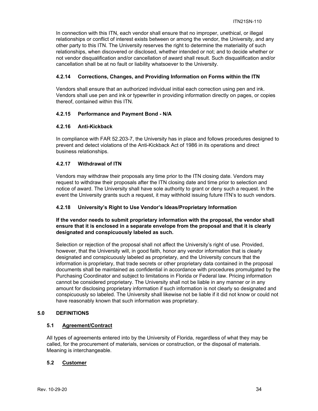In connection with this ITN, each vendor shall ensure that no improper, unethical, or illegal relationships or conflict of interest exists between or among the vendor, the University, and any other party to this ITN. The University reserves the right to determine the materiality of such relationships, when discovered or disclosed, whether intended or not; and to decide whether or not vendor disqualification and/or cancellation of award shall result. Such disqualification and/or cancellation shall be at no fault or liability whatsoever to the University.

## **4.2.14 Corrections, Changes, and Providing Information on Forms within the ITN**

Vendors shall ensure that an authorized individual initial each correction using pen and ink. Vendors shall use pen and ink or typewriter in providing information directly on pages, or copies thereof, contained within this ITN.

## **4.2.15 Performance and Payment Bond - N/A**

#### **4.2.16 Anti-Kickback**

In compliance with FAR 52.203-7, the University has in place and follows procedures designed to prevent and detect violations of the Anti-Kickback Act of 1986 in its operations and direct business relationships.

#### **4.2.17 Withdrawal of ITN**

Vendors may withdraw their proposals any time prior to the ITN closing date. Vendors may request to withdraw their proposals after the ITN closing date and time prior to selection and notice of award. The University shall have sole authority to grant or deny such a request. In the event the University grants such a request, it may withhold issuing future ITN's to such vendors.

#### **4.2.18 University's Right to Use Vendor's Ideas/Proprietary Information**

**If the vendor needs to submit proprietary information with the proposal, the vendor shall ensure that it is enclosed in a separate envelope from the proposal and that it is clearly designated and conspicuously labeled as such.** 

Selection or rejection of the proposal shall not affect the University's right of use. Provided, however, that the University will, in good faith, honor any vendor information that is clearly designated and conspicuously labeled as proprietary, and the University concurs that the information is proprietary, that trade secrets or other proprietary data contained in the proposal documents shall be maintained as confidential in accordance with procedures promulgated by the Purchasing Coordinator and subject to limitations in Florida or Federal law. Pricing information cannot be considered proprietary. The University shall not be liable in any manner or in any amount for disclosing proprietary information if such information is not clearly so designated and conspicuously so labeled. The University shall likewise not be liable if it did not know or could not have reasonably known that such information was proprietary.

## **5.0 DEFINITIONS**

#### **5.1 Agreement/Contract**

All types of agreements entered into by the University of Florida, regardless of what they may be called, for the procurement of materials, services or construction, or the disposal of materials. Meaning is interchangeable.

## **5.2 Customer**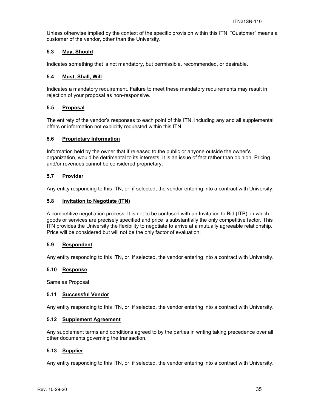Unless otherwise implied by the context of the specific provision within this ITN, "Customer" means a customer of the vendor, other than the University.

## **5.3 May, Should**

Indicates something that is not mandatory, but permissible, recommended, or desirable.

#### **5.4 Must, Shall, Will**

Indicates a mandatory requirement. Failure to meet these mandatory requirements may result in rejection of your proposal as non-responsive.

#### **5.5 Proposal**

The entirety of the vendor's responses to each point of this ITN, including any and all supplemental offers or information not explicitly requested within this ITN.

#### **5.6 Proprietary Information**

Information held by the owner that if released to the public or anyone outside the owner's organization, would be detrimental to its interests. It is an issue of fact rather than opinion. Pricing and/or revenues cannot be considered proprietary.

#### **5.7 Provider**

Any entity responding to this ITN, or, if selected, the vendor entering into a contract with University.

#### **5.8 Invitation to Negotiate (ITN)**

A competitive negotiation process. It is not to be confused with an Invitation to Bid (ITB), in which goods or services are precisely specified and price is substantially the only competitive factor. This ITN provides the University the flexibility to negotiate to arrive at a mutually agreeable relationship. Price will be considered but will not be the only factor of evaluation.

#### **5.9 Respondent**

Any entity responding to this ITN, or, if selected, the vendor entering into a contract with University.

#### **5.10 Response**

Same as Proposal

#### **5.11 Successful Vendor**

Any entity responding to this ITN, or, if selected, the vendor entering into a contract with University.

#### **5.12 Supplement Agreement**

Any supplement terms and conditions agreed to by the parties in writing taking precedence over all other documents governing the transaction.

#### **5.13 Supplier**

Any entity responding to this ITN, or, if selected, the vendor entering into a contract with University.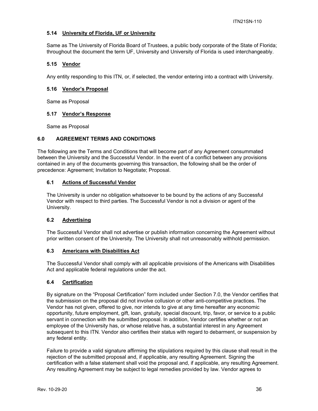## **5.14 University of Florida, UF or University**

Same as The University of Florida Board of Trustees, a public body corporate of the State of Florida; throughout the document the term UF, University and University of Florida is used interchangeably.

## **5.15 Vendor**

Any entity responding to this ITN, or, if selected, the vendor entering into a contract with University.

#### **5.16 Vendor's Proposal**

Same as Proposal

#### **5.17 Vendor's Response**

Same as Proposal

#### **6.0 AGREEMENT TERMS AND CONDITIONS**

The following are the Terms and Conditions that will become part of any Agreement consummated between the University and the Successful Vendor. In the event of a conflict between any provisions contained in any of the documents governing this transaction, the following shall be the order of precedence: Agreement; Invitation to Negotiate; Proposal.

## **6.1 Actions of Successful Vendor**

The University is under no obligation whatsoever to be bound by the actions of any Successful Vendor with respect to third parties. The Successful Vendor is not a division or agent of the University.

## **6.2 Advertising**

The Successful Vendor shall not advertise or publish information concerning the Agreement without prior written consent of the University. The University shall not unreasonably withhold permission.

#### **6.3 Americans with Disabilities Act**

The Successful Vendor shall comply with all applicable provisions of the Americans with Disabilities Act and applicable federal regulations under the act.

## **6.4 Certification**

By signature on the "Proposal Certification" form included under Section 7.0, the Vendor certifies that the submission on the proposal did not involve collusion or other anti-competitive practices. The Vendor has not given, offered to give, nor intends to give at any time hereafter any economic opportunity, future employment, gift, loan, gratuity, special discount, trip, favor, or service to a public servant in connection with the submitted proposal. In addition, Vendor certifies whether or not an employee of the University has, or whose relative has, a substantial interest in any Agreement subsequent to this ITN. Vendor also certifies their status with regard to debarment, or suspension by any federal entity.

Failure to provide a valid signature affirming the stipulations required by this clause shall result in the rejection of the submitted proposal and, if applicable, any resulting Agreement. Signing the certification with a false statement shall void the proposal and, if applicable, any resulting Agreement. Any resulting Agreement may be subject to legal remedies provided by law. Vendor agrees to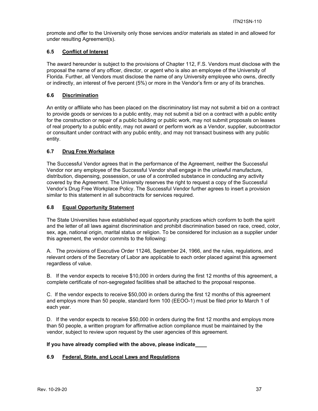promote and offer to the University only those services and/or materials as stated in and allowed for under resulting Agreement(s).

## **6.5 Conflict of Interest**

The award hereunder is subject to the provisions of Chapter 112, F.S. Vendors must disclose with the proposal the name of any officer, director, or agent who is also an employee of the University of Florida. Further, all Vendors must disclose the name of any University employee who owns, directly or indirectly, an interest of five percent (5%) or more in the Vendor's firm or any of its branches.

## **6.6 Discrimination**

An entity or affiliate who has been placed on the discriminatory list may not submit a bid on a contract to provide goods or services to a public entity, may not submit a bid on a contract with a public entity for the construction or repair of a public building or public work, may not submit proposals on leases of real property to a public entity, may not award or perform work as a Vendor, supplier, subcontractor or consultant under contract with any public entity, and may not transact business with any public entity.

## **6.7 Drug Free Workplace**

The Successful Vendor agrees that in the performance of the Agreement, neither the Successful Vendor nor any employee of the Successful Vendor shall engage in the unlawful manufacture, distribution, dispensing, possession, or use of a controlled substance in conducting any activity covered by the Agreement. The University reserves the right to request a copy of the Successful Vendor's Drug Free Workplace Policy. The Successful Vendor further agrees to insert a provision similar to this statement in all subcontracts for services required.

## **6.8 Equal Opportunity Statement**

The State Universities have established equal opportunity practices which conform to both the spirit and the letter of all laws against discrimination and prohibit discrimination based on race, creed, color, sex, age, national origin, marital status or religion. To be considered for inclusion as a supplier under this agreement, the vendor commits to the following:

A. The provisions of Executive Order 11246, September 24, 1966, and the rules, regulations, and relevant orders of the Secretary of Labor are applicable to each order placed against this agreement regardless of value.

B. If the vendor expects to receive \$10,000 in orders during the first 12 months of this agreement, a complete certificate of non-segregated facilities shall be attached to the proposal response.

C. If the vendor expects to receive \$50,000 in orders during the first 12 months of this agreement and employs more than 50 people, standard form 100 (EEOO-1) must be filed prior to March 1 of each year.

D. If the vendor expects to receive \$50,000 in orders during the first 12 months and employs more than 50 people, a written program for affirmative action compliance must be maintained by the vendor, subject to review upon request by the user agencies of this agreement.

## **If you have already complied with the above, please indicate\_\_\_\_**

## **6.9 Federal, State, and Local Laws and Regulations**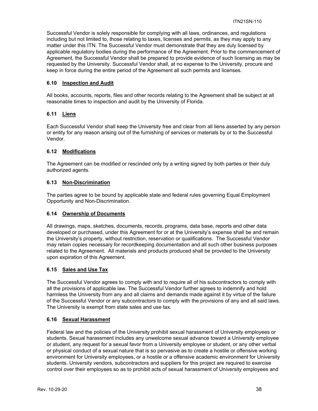Successful Vendor is solely responsible for complying with all laws, ordinances, and regulations including but not limited to, those relating to taxes, licenses and permits, as they may apply to any matter under this ITN. The Successful Vendor must demonstrate that they are duly licensed by applicable regulatory bodies during the performance of the Agreement. Prior to the commencement of Agreement, the Successful Vendor shall be prepared to provide evidence of such licensing as may be requested by the University. Successful Vendor shall, at no expense to the University, procure and keep in force during the entire period of the Agreement all such permits and licenses.

## **6.10 Inspection and Audit**

All books, accounts, reports, files and other records relating to the Agreement shall be subject at all reasonable times to inspection and audit by the University of Florida.

## **6.11 Liens**

Each Successful Vendor shall keep the University free and clear from all liens asserted by any person or entity for any reason arising out of the furnishing of services or materials by or to the Successful Vendor.

## **6.12 Modifications**

The Agreement can be modified or rescinded only by a writing signed by both parties or their duly authorized agents.

## **6.13 Non-Discrimination**

The parties agree to be bound by applicable state and federal rules governing Equal Employment Opportunity and Non-Discrimination.

## **6.14 Ownership of Documents**

All drawings, maps, sketches, documents, records, programs, data base, reports and other data developed or purchased, under this Agreement for or at the University's expense shall be and remain the University's property, without restriction, reservation or qualifications. The Successful Vendor may retain copies necessary for recordkeeping documentation and all such other business purposes related to the Agreement. All materials and products produced shall be provided to the University upon expiration of this Agreement.

## **6.15 Sales and Use Tax**

The Successful Vendor agrees to comply with and to require all of his subcontractors to comply with all the provisions of applicable law. The Successful Vendor further agrees to indemnify and hold harmless the University from any and all claims and demands made against it by virtue of the failure of the Successful Vendor or any subcontractors to comply with the provisions of any and all said laws. The University is exempt from state sales and use tax.

## **6.16 Sexual Harassment**

Federal law and the policies of the University prohibit sexual harassment of University employees or students. Sexual harassment includes any unwelcome sexual advance toward a University employee or student, any request for a sexual favor from a University employee or student, or any other verbal or physical conduct of a sexual nature that is so pervasive as to create a hostile or offensive working environment for University employees, or a hostile or a offensive academic environment for University students. University vendors, subcontractors and suppliers for this project are required to exercise control over their employees so as to prohibit acts of sexual harassment of University employees and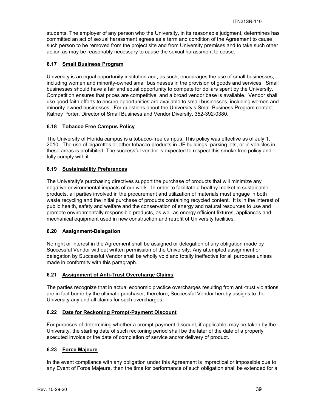students. The employer of any person who the University, in its reasonable judgment, determines has committed an act of sexual harassment agrees as a term and condition of the Agreement to cause such person to be removed from the project site and from University premises and to take such other action as may be reasonably necessary to cause the sexual harassment to cease.

## **6.17 Small Business Program**

University is an equal opportunity institution and, as such, encourages the use of small businesses, including women and minority-owned small businesses in the provision of goods and services. Small businesses should have a fair and equal opportunity to compete for dollars spent by the University. Competition ensures that prices are competitive, and a broad vendor base is available. Vendor shall use good faith efforts to ensure opportunities are available to small businesses, including women and minority-owned businesses. For questions about the University's Small Business Program contact Kathey Porter, Director of Small Business and Vendor Diversity, 352-392-0380.

#### **6.18 Tobacco Free Campus Policy**

The University of Florida campus is a tobacco-free campus. This policy was effective as of July 1, 2010. The use of cigarettes or other tobacco products in UF buildings, parking lots, or in vehicles in these areas is prohibited. The successful vendor is expected to respect this smoke free policy and fully comply with it.

#### **6.19 Sustainability Preferences**

The University's purchasing directives support the purchase of products that will minimize any negative environmental impacts of our work. In order to facilitate a healthy market in sustainable products, all parties involved in the procurement and utilization of materials must engage in both waste recycling and the initial purchase of products containing recycled content. It is in the interest of public health, safety and welfare and the conservation of energy and natural resources to use and promote environmentally responsible products, as well as energy efficient fixtures, appliances and mechanical equipment used in new construction and retrofit of University facilities.

#### **6.20 Assignment-Delegation**

No right or interest in the Agreement shall be assigned or delegation of any obligation made by Successful Vendor without written permission of the University. Any attempted assignment or delegation by Successful Vendor shall be wholly void and totally ineffective for all purposes unless made in conformity with this paragraph.

#### **6.21 Assignment of Anti-Trust Overcharge Claims**

The parties recognize that in actual economic practice overcharges resulting from anti-trust violations are in fact borne by the ultimate purchaser; therefore, Successful Vendor hereby assigns to the University any and all claims for such overcharges.

#### **6.22 Date for Reckoning Prompt-Payment Discount**

For purposes of determining whether a prompt-payment discount, if applicable, may be taken by the University, the starting date of such reckoning period shall be the later of the date of a properly executed invoice or the date of completion of service and/or delivery of product.

## **6.23 Force Majeure**

In the event compliance with any obligation under this Agreement is impractical or impossible due to any Event of Force Majeure, then the time for performance of such obligation shall be extended for a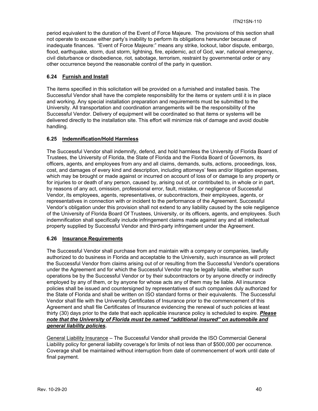period equivalent to the duration of the Event of Force Majeure. The provisions of this section shall not operate to excuse either party's inability to perform its obligations hereunder because of inadequate finances. "Event of Force Majeure:" means any strike, lockout, labor dispute, embargo, flood, earthquake, storm, dust storm, lightning, fire, epidemic, act of God, war, national emergency, civil disturbance or disobedience, riot, sabotage, terrorism, restraint by governmental order or any other occurrence beyond the reasonable control of the party in question.

## **6.24 Furnish and Install**

The items specified in this solicitation will be provided on a furnished and installed basis. The Successful Vendor shall have the complete responsibility for the items or system until it is in place and working. Any special installation preparation and requirements must be submitted to the University. All transportation and coordination arrangements will be the responsibility of the Successful Vendor. Delivery of equipment will be coordinated so that items or systems will be delivered directly to the installation site. This effort will minimize risk of damage and avoid double handling.

#### **6.25 Indemnification/Hold Harmless**

The Successful Vendor shall indemnify, defend, and hold harmless the University of Florida Board of Trustees, the University of Florida, the State of Florida and the Florida Board of Governors, its officers, agents, and employees from any and all claims, demands, suits, actions, proceedings, loss, cost, and damages of every kind and description, including attorneys' fees and/or litigation expenses, which may be brought or made against or incurred on account of loss of or damage to any property or for injuries to or death of any person, caused by, arising out of, or contributed to, in whole or in part, by reasons of any act, omission, professional error, fault, mistake, or negligence of Successful Vendor, its employees, agents, representatives, or subcontractors, their employees, agents, or representatives in connection with or incident to the performance of the Agreement. Successful Vendor's obligation under this provision shall not extend to any liability caused by the sole negligence of the University of Florida Board Of Trustees, University, or its officers, agents, and employees. Such indemnification shall specifically include infringement claims made against any and all intellectual property supplied by Successful Vendor and third-party infringement under the Agreement.

#### **6.26 Insurance Requirements**

The Successful Vendor shall purchase from and maintain with a company or companies, lawfully authorized to do business in Florida and acceptable to the University, such insurance as will protect the Successful Vendor from claims arising out of or resulting from the Successful Vendor's operations under the Agreement and for which the Successful Vendor may be legally liable, whether such operations be by the Successful Vendor or by their subcontractors or by anyone directly or indirectly employed by any of them, or by anyone for whose acts any of them may be liable. All insurance policies shall be issued and countersigned by representatives of such companies duly authorized for the State of Florida and shall be written on ISO standard forms or their equivalents. The Successful Vendor shall file with the University Certificates of Insurance prior to the commencement of this Agreement and shall file Certificates of Insurance evidencing the renewal of such policies at least thirty (30) days prior to the date that each applicable insurance policy is scheduled to expire. *Please note that the University of Florida must be named "additional insured" on automobile and general liability policies.*

General Liability Insurance – The Successful Vendor shall provide the ISO Commercial General Liability policy for general liability coverage's for limits of not less than of \$500,000 per occurrence. Coverage shall be maintained without interruption from date of commencement of work until date of final payment.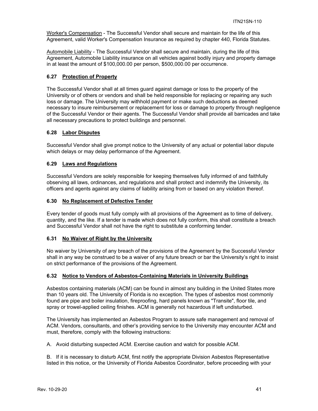Worker's Compensation - The Successful Vendor shall secure and maintain for the life of this Agreement, valid Worker's Compensation Insurance as required by chapter 440, Florida Statutes.

Automobile Liability - The Successful Vendor shall secure and maintain, during the life of this Agreement, Automobile Liability insurance on all vehicles against bodily injury and property damage in at least the amount of \$100,000.00 per person, \$500,000.00 per occurrence.

#### **6.27 Protection of Property**

The Successful Vendor shall at all times guard against damage or loss to the property of the University or of others or vendors and shall be held responsible for replacing or repairing any such loss or damage. The University may withhold payment or make such deductions as deemed necessary to insure reimbursement or replacement for loss or damage to property through negligence of the Successful Vendor or their agents. The Successful Vendor shall provide all barricades and take all necessary precautions to protect buildings and personnel.

#### **6.28 Labor Disputes**

Successful Vendor shall give prompt notice to the University of any actual or potential labor dispute which delays or may delay performance of the Agreement.

#### **6.29 Laws and Regulations**

Successful Vendors are solely responsible for keeping themselves fully informed of and faithfully observing all laws, ordinances, and regulations and shall protect and indemnify the University, its officers and agents against any claims of liability arising from or based on any violation thereof.

#### **6.30 No Replacement of Defective Tender**

Every tender of goods must fully comply with all provisions of the Agreement as to time of delivery, quantity, and the like. If a tender is made which does not fully conform, this shall constitute a breach and Successful Vendor shall not have the right to substitute a conforming tender.

#### **6.31 No Waiver of Right by the University**

No waiver by University of any breach of the provisions of the Agreement by the Successful Vendor shall in any way be construed to be a waiver of any future breach or bar the University's right to insist on strict performance of the provisions of the Agreement.

#### **6.32 Notice to Vendors of Asbestos-Containing Materials in University Buildings**

Asbestos containing materials (ACM) can be found in almost any building in the United States more than 10 years old. The University of Florida is no exception. The types of asbestos most commonly found are pipe and boiler insulation, fireproofing, hard panels known as "Transite", floor tile, and spray or trowel-applied ceiling finishes. ACM is generally not hazardous if left undisturbed.

The University has implemented an Asbestos Program to assure safe management and removal of ACM. Vendors, consultants, and other's providing service to the University may encounter ACM and must, therefore, comply with the following instructions:

A. Avoid disturbing suspected ACM. Exercise caution and watch for possible ACM.

B. If it is necessary to disturb ACM, first notify the appropriate Division Asbestos Representative listed in this notice, or the University of Florida Asbestos Coordinator, before proceeding with your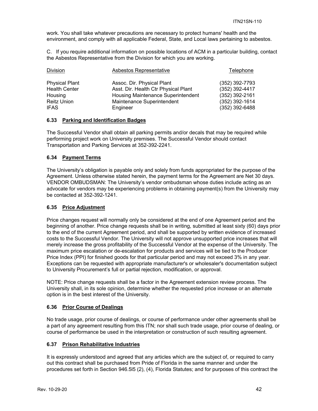work. You shall take whatever precautions are necessary to protect humans' health and the environment, and comply with all applicable Federal, State, and Local laws pertaining to asbestos.

C. If you require additional information on possible locations of ACM in a particular building, contact the Asbestos Representative from the Division for which you are working.

| <b>Division</b>       | Asbestos Representative              | Telephone        |
|-----------------------|--------------------------------------|------------------|
| <b>Physical Plant</b> | Assoc. Dir. Physical Plant           | (352) 392-7793   |
| <b>Health Center</b>  | Asst. Dir. Health Ctr Physical Plant | (352) 392-4417   |
| Housing               | Housing Maintenance Superintendent   | (352) 392-2161   |
| <b>Reitz Union</b>    | Maintenance Superintendent           | $(352)$ 392-1614 |
| <b>IFAS</b>           | Engineer                             | $(352)$ 392-6488 |

#### **6.33 Parking and Identification Badges**

The Successful Vendor shall obtain all parking permits and/or decals that may be required while performing project work on University premises. The Successful Vendor should contact Transportation and Parking Services at 352-392-2241.

## **6.34 Payment Terms**

The University's obligation is payable only and solely from funds appropriated for the purpose of the Agreement. Unless otherwise stated herein, the payment terms for the Agreement are Net 30 days. VENDOR OMBUDSMAN: The University's vendor ombudsman whose duties include acting as an advocate for vendors may be experiencing problems in obtaining payment(s) from the University may be contacted at 352-392-1241.

## **6.35 Price Adjustment**

Price changes request will normally only be considered at the end of one Agreement period and the beginning of another. Price change requests shall be in writing, submitted at least sixty (60) days prior to the end of the current Agreement period, and shall be supported by written evidence of increased costs to the Successful Vendor. The University will not approve unsupported price increases that will merely increase the gross profitability of the Successful Vendor at the expense of the University. The maximum price escalation or de-escalation for products and services will be tied to the Producer Price Index (PPI) for finished goods for that particular period and may not exceed 3% in any year. Exceptions can be requested with appropriate manufacturer's or wholesaler's documentation subject to University Procurement's full or partial rejection, modification, or approval.

NOTE: Price change requests shall be a factor in the Agreement extension review process. The University shall, in its sole opinion, determine whether the requested price increase or an alternate option is in the best interest of the University.

## **6.36 Prior Course of Dealings**

No trade usage, prior course of dealings, or course of performance under other agreements shall be a part of any agreement resulting from this ITN; nor shall such trade usage, prior course of dealing, or course of performance be used in the interpretation or construction of such resulting agreement.

#### **6.37 Prison Rehabilitative Industries**

It is expressly understood and agreed that any articles which are the subject of, or required to carry out this contract shall be purchased from Pride of Florida in the same manner and under the procedures set forth in Section 946.5l5 (2), (4), Florida Statutes; and for purposes of this contract the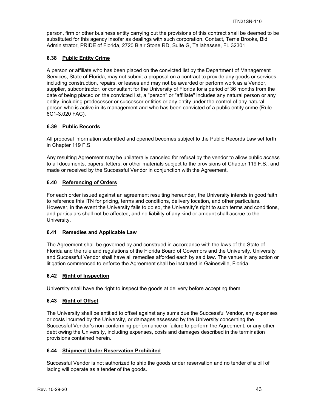person, firm or other business entity carrying out the provisions of this contract shall be deemed to be substituted for this agency insofar as dealings with such corporation. Contact, Terrie Brooks, Bid Administrator, PRIDE of Florida, 2720 Blair Stone RD, Suite G, Tallahassee, FL 32301

## **6.38 Public Entity Crime**

A person or affiliate who has been placed on the convicted list by the Department of Management Services, State of Florida, may not submit a proposal on a contract to provide any goods or services, including construction, repairs, or leases and may not be awarded or perform work as a Vendor, supplier, subcontractor, or consultant for the University of Florida for a period of 36 months from the date of being placed on the convicted list, a "person" or "affiliate" includes any natural person or any entity, including predecessor or successor entities or any entity under the control of any natural person who is active in its management and who has been convicted of a public entity crime (Rule 6C1-3.020 FAC).

## **6.39 Public Records**

All proposal information submitted and opened becomes subject to the Public Records Law set forth in Chapter 119 F.S.

Any resulting Agreement may be unilaterally canceled for refusal by the vendor to allow public access to all documents, papers, letters, or other materials subject to the provisions of Chapter 119 F.S., and made or received by the Successful Vendor in conjunction with the Agreement.

## **6.40 Referencing of Orders**

For each order issued against an agreement resulting hereunder, the University intends in good faith to reference this ITN for pricing, terms and conditions, delivery location, and other particulars. However, in the event the University fails to do so, the University's right to such terms and conditions, and particulars shall not be affected, and no liability of any kind or amount shall accrue to the University.

## **6.41 Remedies and Applicable Law**

The Agreement shall be governed by and construed in accordance with the laws of the State of Florida and the rule and regulations of the Florida Board of Governors and the University. University and Successful Vendor shall have all remedies afforded each by said law. The venue in any action or litigation commenced to enforce the Agreement shall be instituted in Gainesville, Florida.

## **6.42 Right of Inspection**

University shall have the right to inspect the goods at delivery before accepting them.

## **6.43 Right of Offset**

The University shall be entitled to offset against any sums due the Successful Vendor, any expenses or costs incurred by the University, or damages assessed by the University concerning the Successful Vendor's non-conforming performance or failure to perform the Agreement, or any other debt owing the University, including expenses, costs and damages described in the termination provisions contained herein.

## **6.44 Shipment Under Reservation Prohibited**

Successful Vendor is not authorized to ship the goods under reservation and no tender of a bill of lading will operate as a tender of the goods.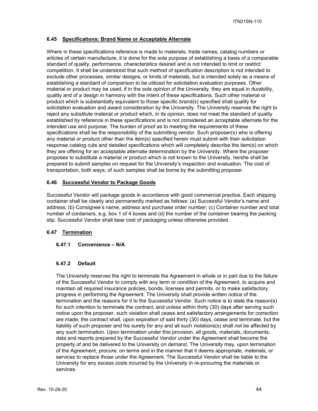#### **6.45 Specifications: Brand Name or Acceptable Alternate**

Where in these specifications reference is made to materials, trade names, catalog numbers or articles of certain manufacture, it is done for the sole purpose of establishing a basis of a comparable standard of quality, performance, characteristics desired and is not intended to limit or restrict competition. It shall be understood that such method of specification description is not intended to exclude other processes, similar designs, or kinds of materials, but is intended solely as a means of establishing a standard of comparison to be utilized for solicitation evaluation purposes. Other material or product may be used, if in the sole opinion of the University, they are equal in durability, quality and of a design in harmony with the intent of these specifications. Such other material or product which is substantially equivalent to those specific brand(s) specified shall qualify for solicitation evaluation and award consideration by the University. The University reserves the right to reject any substitute material or product which, in its opinion, does not meet the standard of quality established by reference in these specifications and is not considered an acceptable alternate for the intended use and purpose. The burden of proof as to meeting the requirements of these specifications shall be the responsibility of the submitting vendor. Such proposer(s) who is offering any material or product other than the item(s) specified herein must submit with their solicitation response catalog cuts and detailed specifications which will completely describe the item(s) on which they are offering for an acceptable alternate determination by the University. Where the proposer proposes to substitute a material or product which is not known to the University, he/she shall be prepared to submit samples on request for the University's inspection and evaluation. The cost of transportation, both ways, of such samples shall be borne by the submitting proposer.

## **6.46 Successful Vendor to Package Goods**

Successful Vendor will package goods in accordance with good commercial practice. Each shipping container shall be clearly and permanently marked as follows: (a) Successful Vendor's name and address; (b) Consignee's name, address and purchase order number; (c) Container number and total number of containers, e.g. box 1 of 4 boxes and (d) the number of the container bearing the packing slip. Successful Vendor shall bear cost of packaging unless otherwise provided.

## **6.47 Termination**

#### **6.47.1 Convenience – N/A**

#### **6.47.2 Default**

The University reserves the right to terminate the Agreement in whole or in part due to the failure of the Successful Vendor to comply with any term or condition of the Agreement, to acquire and maintain all required insurance policies, bonds, licenses and permits, or to make satisfactory progress in performing the Agreement. The University shall provide written notice of the termination and the reasons for it to the Successful Vendor. Such notice is to state the reason(s) for such intention to terminate the contract, and unless within thirty (30) days after serving such notice upon the proposer, such violation shall cease and satisfactory arrangements for correction are made, the contract shall, upon expiration of said thirty (30) days, cease and terminate, but the liability of such proposer and his surety for any and all such violations(s) shall not be affected by any such termination. Upon termination under this provision, all goods, materials, documents, data and reports prepared by the Successful Vendor under the Agreement shall become the property of and be delivered to the University on demand. The University may, upon termination of the Agreement, procure, on terms and in the manner that it deems appropriate, materials, or services to replace those under the Agreement. The Successful Vendor shall be liable to the University for any excess costs incurred by the University in re-procuring the materials or services.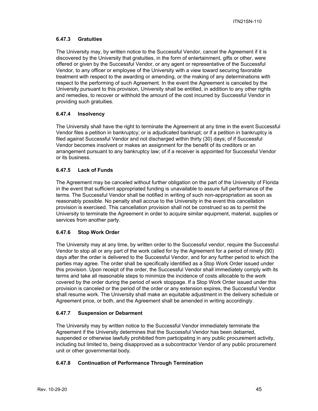## **6.47.3 Gratuities**

The University may, by written notice to the Successful Vendor, cancel the Agreement if it is discovered by the University that gratuities, in the form of entertainment, gifts or other, were offered or given by the Successful Vendor, or any agent or representative of the Successful Vendor, to any officer or employee of the University with a view toward securing favorable treatment with respect to the awarding or amending, or the making of any determinations with respect to the performing of such Agreement. In the event the Agreement is canceled by the University pursuant to this provision, University shall be entitled, in addition to any other rights and remedies, to recover or withhold the amount of the cost incurred by Successful Vendor in providing such gratuities.

## **6.47.4 Insolvency**

The University shall have the right to terminate the Agreement at any time in the event Successful Vendor files a petition in bankruptcy; or is adjudicated bankrupt; or if a petition in bankruptcy is filed against Successful Vendor and not discharged within thirty (30) days; of if Successful Vendor becomes insolvent or makes an assignment for the benefit of its creditors or an arrangement pursuant to any bankruptcy law; of if a receiver is appointed for Successful Vendor or its business.

## **6.47.5 Lack of Funds**

The Agreement may be canceled without further obligation on the part of the University of Florida in the event that sufficient appropriated funding is unavailable to assure full performance of the terms. The Successful Vendor shall be notified in writing of such non-appropriation as soon as reasonably possible. No penalty shall accrue to the University in the event this cancellation provision is exercised. This cancellation provision shall not be construed so as to permit the University to terminate the Agreement in order to acquire similar equipment, material, supplies or services from another party.

## **6.47.6 Stop Work Order**

The University may at any time, by written order to the Successful vendor, require the Successful Vendor to stop all or any part of the work called for by the Agreement for a period of ninety (90) days after the order is delivered to the Successful Vendor, and for any further period to which the parties may agree. The order shall be specifically identified as a Stop Work Order issued under this provision. Upon receipt of the order, the Successful Vendor shall immediately comply with its terms and take all reasonable steps to minimize the incidence of costs allocable to the work covered by the order during the period of work stoppage. If a Stop Work Order issued under this provision is canceled or the period of the order or any extension expires, the Successful Vendor shall resume work. The University shall make an equitable adjustment in the delivery schedule or Agreement price, or both, and the Agreement shall be amended in writing accordingly.

## **6.47.7 Suspension or Debarment**

The University may by written notice to the Successful Vendor immediately terminate the Agreement if the University determines that the Successful Vendor has been debarred, suspended or otherwise lawfully prohibited from participating in any public procurement activity, including but limited to, being disapproved as a subcontractor Vendor of any public procurement unit or other governmental body.

## **6.47.8 Continuation of Performance Through Termination**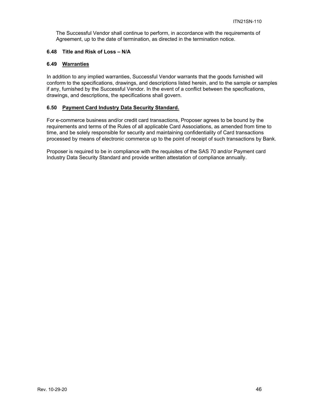The Successful Vendor shall continue to perform, in accordance with the requirements of Agreement, up to the date of termination, as directed in the termination notice.

## **6.48 Title and Risk of Loss – N/A**

#### **6.49 Warranties**

In addition to any implied warranties, Successful Vendor warrants that the goods furnished will conform to the specifications, drawings, and descriptions listed herein, and to the sample or samples if any, furnished by the Successful Vendor. In the event of a conflict between the specifications, drawings, and descriptions, the specifications shall govern.

#### **6.50 Payment Card Industry Data Security Standard.**

For e-commerce business and/or credit card transactions, Proposer agrees to be bound by the requirements and terms of the Rules of all applicable Card Associations, as amended from time to time, and be solely responsible for security and maintaining confidentiality of Card transactions processed by means of electronic commerce up to the point of receipt of such transactions by Bank.

Proposer is required to be in compliance with the requisites of the SAS 70 and/or Payment card Industry Data Security Standard and provide written attestation of compliance annually.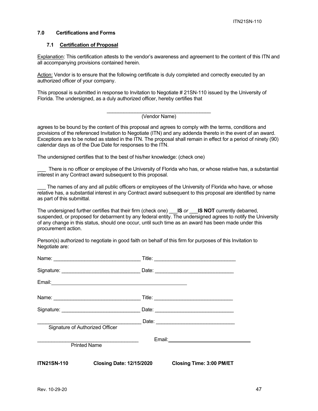#### **7.0 Certifications and Forms**

#### **7.1 Certification of Proposal**

Explanation: This certification attests to the vendor's awareness and agreement to the content of this ITN and all accompanying provisions contained herein.

Action: Vendor is to ensure that the following certificate is duly completed and correctly executed by an authorized officer of your company.

This proposal is submitted in response to Invitation to Negotiate # 21SN-110 issued by the University of Florida. The undersigned, as a duly authorized officer, hereby certifies that

#### (Vendor Name)

agrees to be bound by the content of this proposal and agrees to comply with the terms, conditions and provisions of the referenced Invitation to Negotiate (ITN) and any addenda thereto in the event of an award. Exceptions are to be noted as stated in the ITN. The proposal shall remain in effect for a period of ninety (90) calendar days as of the Due Date for responses to the ITN.

The undersigned certifies that to the best of his/her knowledge: (check one)

There is no officer or employee of the University of Florida who has, or whose relative has, a substantial interest in any Contract award subsequent to this proposal.

The names of any and all public officers or employees of the University of Florida who have, or whose relative has, a substantial interest in any Contract award subsequent to this proposal are identified by name as part of this submittal.

The undersigned further certifies that their firm (check one) \_\_\_**IS** *or* \_\_\_**IS NOT** currently debarred, suspended, or proposed for debarment by any federal entity. The undersigned agrees to notify the University of any change in this status, should one occur, until such time as an award has been made under this procurement action.

Person(s) authorized to negotiate in good faith on behalf of this firm for purposes of this Invitation to Negotiate are:

| Signature of Authorized Officer |                                 |                                 |
|---------------------------------|---------------------------------|---------------------------------|
| <b>Printed Name</b>             |                                 |                                 |
| <b>ITN21SN-110</b>              | <b>Closing Date: 12/15/2020</b> | <b>Closing Time: 3:00 PM/ET</b> |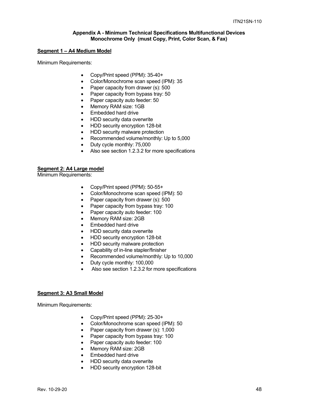#### **Appendix A - Minimum Technical Specifications Multifunctional Devices Monochrome Only (must Copy, Print, Color Scan, & Fax)**

#### **Segment 1 – A4 Medium Model**

Minimum Requirements:

- Copy/Print speed (PPM): 35-40+
- Color/Monochrome scan speed (IPM): 35
- Paper capacity from drawer (s): 500
- Paper capacity from bypass tray: 50
- Paper capacity auto feeder: 50
- Memory RAM size: 1GB
- Embedded hard drive
- HDD security data overwrite
- HDD security encryption 128-bit
- HDD security malware protection
- Recommended volume/monthly: Up to 5,000
- Duty cycle monthly: 75,000
- Also see section 1.2.3.2 for more specifications

#### **Segment 2: A4 Large model**

Minimum Requirements:

- Copy/Print speed (PPM): 50-55+
- Color/Monochrome scan speed (IPM): 50
- Paper capacity from drawer (s): 500
- Paper capacity from bypass tray: 100
- Paper capacity auto feeder: 100
- Memory RAM size: 2GB
- Embedded hard drive
- HDD security data overwrite
- HDD security encryption 128-bit
- HDD security malware protection
- Capability of in-line stapler/finisher
- Recommended volume/monthly: Up to 10,000
- Duty cycle monthly: 100,000
- Also see section 1.2.3.2 for more specifications

#### **Segment 3: A3 Small Model**

- Copy/Print speed (PPM): 25-30+
- Color/Monochrome scan speed (IPM): 50
- Paper capacity from drawer (s): 1,000
- Paper capacity from bypass tray: 100
- Paper capacity auto feeder: 100
- Memory RAM size: 2GB
- Embedded hard drive
- HDD security data overwrite
- HDD security encryption 128-bit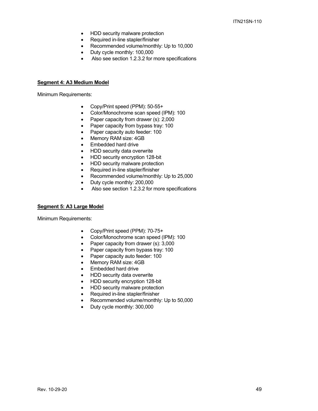- HDD security malware protection
- Required in-line stapler/finisher
- Recommended volume/monthly: Up to 10,000
- Duty cycle monthly: 100,000
- Also see section 1.2.3.2 for more specifications

#### **Segment 4: A3 Medium Model**

Minimum Requirements:

- Copy/Print speed (PPM): 50-55+
- Color/Monochrome scan speed (IPM): 100
- Paper capacity from drawer (s): 2,000
- Paper capacity from bypass tray: 100
- Paper capacity auto feeder: 100
- Memory RAM size: 4GB
- Embedded hard drive
- HDD security data overwrite
- HDD security encryption 128-bit
- HDD security malware protection
- Required in-line stapler/finisher
- Recommended volume/monthly: Up to 25,000
- Duty cycle monthly: 200,000
- Also see section 1.2.3.2 for more specifications

#### **Segment 5: A3 Large Model**

- Copy/Print speed (PPM): 70-75+
- Color/Monochrome scan speed (IPM): 100
- Paper capacity from drawer (s): 3,000
- Paper capacity from bypass tray: 100
- Paper capacity auto feeder: 100<br>• Memory RAM size: 4GB
- Memory RAM size: 4GB
- Embedded hard drive
- HDD security data overwrite
- HDD security encryption 128-bit
- HDD security malware protection
- Required in-line stapler/finisher
- Recommended volume/monthly: Up to 50,000
- Duty cycle monthly: 300,000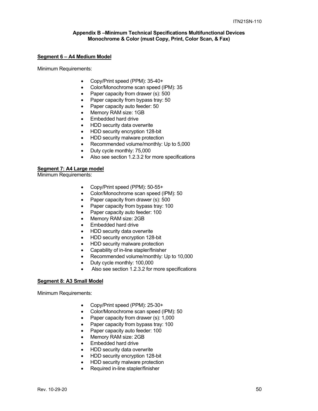#### **Appendix B –Minimum Technical Specifications Multifunctional Devices Monochrome & Color (must Copy, Print, Color Scan, & Fax)**

#### **Segment 6 – A4 Medium Model**

Minimum Requirements:

- Copy/Print speed (PPM): 35-40+
- Color/Monochrome scan speed (IPM): 35
- Paper capacity from drawer (s): 500
- Paper capacity from bypass tray: 50
- Paper capacity auto feeder: 50
- Memory RAM size: 1GB
- Embedded hard drive
- HDD security data overwrite
- HDD security encryption 128-bit
- HDD security malware protection
- Recommended volume/monthly: Up to 5,000
- Duty cycle monthly: 75,000
- Also see section 1.2.3.2 for more specifications

#### **Segment 7: A4 Large model**

Minimum Requirements:

- Copy/Print speed (PPM): 50-55+
- Color/Monochrome scan speed (IPM): 50
- Paper capacity from drawer (s): 500
- Paper capacity from bypass tray: 100
- Paper capacity auto feeder: 100
- Memory RAM size: 2GB
- Embedded hard drive
- HDD security data overwrite
- HDD security encryption 128-bit
- HDD security malware protection
- Capability of in-line stapler/finisher
- Recommended volume/monthly: Up to 10,000
- Duty cycle monthly: 100,000
- Also see section 1.2.3.2 for more specifications

#### **Segment 8: A3 Small Model**

- Copy/Print speed (PPM): 25-30+
- Color/Monochrome scan speed (IPM): 50
- Paper capacity from drawer (s): 1,000
- Paper capacity from bypass tray: 100
- Paper capacity auto feeder: 100
- Memory RAM size: 2GB
- Embedded hard drive
- HDD security data overwrite
- HDD security encryption 128-bit
- HDD security malware protection
- Required in-line stapler/finisher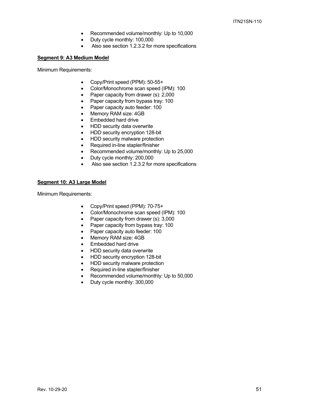- Recommended volume/monthly: Up to 10,000
- Duty cycle monthly: 100,000
- Also see section 1.2.3.2 for more specifications

#### **Segment 9: A3 Medium Model**

Minimum Requirements:

- Copy/Print speed (PPM): 50-55+
- Color/Monochrome scan speed (IPM): 100
- Paper capacity from drawer (s): 2,000
- Paper capacity from bypass tray: 100
- Paper capacity auto feeder: 100
- Memory RAM size: 4GB
- Embedded hard drive
- HDD security data overwrite
- HDD security encryption 128-bit
- HDD security malware protection
- Required in-line stapler/finisher
- Recommended volume/monthly: Up to 25,000
- Duty cycle monthly: 200,000
- Also see section 1.2.3.2 for more specifications

#### **Segment 10: A3 Large Model**

- Copy/Print speed (PPM): 70-75+
- Color/Monochrome scan speed (IPM): 100
- Paper capacity from drawer (s): 3,000
- Paper capacity from bypass tray: 100
- Paper capacity auto feeder: 100
- Memory RAM size: 4GB
- Embedded hard drive
- HDD security data overwrite
- HDD security encryption 128-bit
- HDD security malware protection
- Required in-line stapler/finisher
- Recommended volume/monthly: Up to 50,000
- Duty cycle monthly: 300,000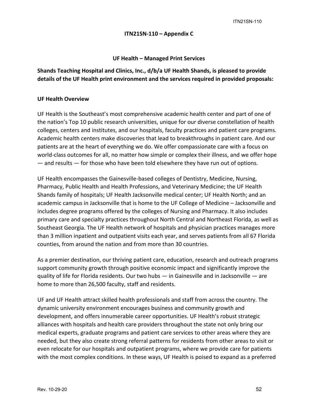ITN21SN-110

## **ITN21SN‐110 – Appendix C**

**UF Health – Managed Print Services**

**Shands Teaching Hospital and Clinics, Inc., d/b/a UF Health Shands, is pleased to provide details of the UF Health print environment and the services required in provided proposals:**

## **UF Health Overview**

UF Health is the Southeast's most comprehensive academic health center and part of one of the nation's Top 10 public research universities, unique for our diverse constellation of health colleges, centers and institutes, and our hospitals, faculty practices and patient care programs. Academic health centers make discoveries that lead to breakthroughs in patient care. And our patients are at the heart of everything we do. We offer compassionate care with a focus on world-class outcomes for all, no matter how simple or complex their illness, and we offer hope — and results — for those who have been told elsewhere they have run out of options.

UF Health encompasses the Gainesville‐based colleges of Dentistry, Medicine, Nursing, Pharmacy, Public Health and Health Professions, and Veterinary Medicine; the UF Health Shands family of hospitals; UF Health Jacksonville medical center; UF Health North; and an academic campus in Jacksonville that is home to the UF College of Medicine – Jacksonville and includes degree programs offered by the colleges of Nursing and Pharmacy. It also includes primary care and specialty practices throughout North Central and Northeast Florida, as well as Southeast Georgia. The UF Health network of hospitals and physician practices manages more than 3 million inpatient and outpatient visits each year, and serves patients from all 67 Florida counties, from around the nation and from more than 30 countries.

As a premier destination, our thriving patient care, education, research and outreach programs support community growth through positive economic impact and significantly improve the quality of life for Florida residents. Our two hubs — in Gainesville and in Jacksonville — are home to more than 26,500 faculty, staff and residents.

UF and UF Health attract skilled health professionals and staff from across the country. The dynamic university environment encourages business and community growth and development, and offers innumerable career opportunities. UF Health's robust strategic alliances with hospitals and health care providers throughout the state not only bring our medical experts, graduate programs and patient care services to other areas where they are needed, but they also create strong referral patterns for residents from other areas to visit or even relocate for our hospitals and outpatient programs, where we provide care for patients with the most complex conditions. In these ways, UF Health is poised to expand as a preferred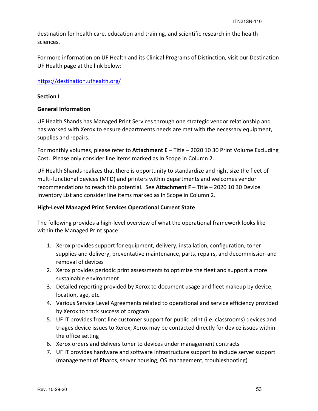destination for health care, education and training, and scientific research in the health sciences.

For more information on UF Health and its Clinical Programs of Distinction, visit our Destination UF Health page at the link below:

## https://destination.ufhealth.org/

## **Section I**

## **General Information**

UF Health Shands has Managed Print Services through one strategic vendor relationship and has worked with Xerox to ensure departments needs are met with the necessary equipment, supplies and repairs.

For monthly volumes, please refer to **Attachment E** – Title – 2020 10 30 Print Volume Excluding Cost. Please only consider line items marked as In Scope in Column 2.

UF Health Shands realizes that there is opportunity to standardize and right size the fleet of multi‐functional devices (MFD) and printers within departments and welcomes vendor recommendations to reach this potential. See **Attachment F** – Title – 2020 10 30 Device Inventory List and consider line items marked as In Scope in Column 2.

## **High‐Level Managed Print Services Operational Current State**

The following provides a high-level overview of what the operational framework looks like within the Managed Print space:

- 1. Xerox provides support for equipment, delivery, installation, configuration, toner supplies and delivery, preventative maintenance, parts, repairs, and decommission and removal of devices
- 2. Xerox provides periodic print assessments to optimize the fleet and support a more sustainable environment
- 3. Detailed reporting provided by Xerox to document usage and fleet makeup by device, location, age, etc.
- 4. Various Service Level Agreements related to operational and service efficiency provided by Xerox to track success of program
- 5. UF IT provides front line customer support for public print (i.e. classrooms) devices and triages device issues to Xerox; Xerox may be contacted directly for device issues within the office setting
- 6. Xerox orders and delivers toner to devices under management contracts
- 7. UF IT provides hardware and software infrastructure support to include server support (management of Pharos, server housing, OS management, troubleshooting)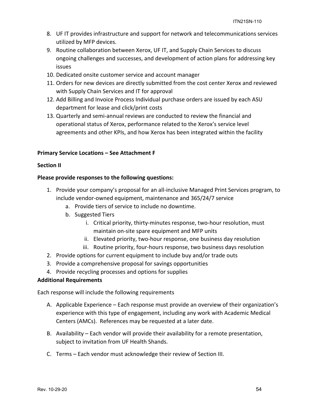- 8. UF IT provides infrastructure and support for network and telecommunications services utilized by MFP devices.
- 9. Routine collaboration between Xerox, UF IT, and Supply Chain Services to discuss ongoing challenges and successes, and development of action plans for addressing key issues
- 10. Dedicated onsite customer service and account manager
- 11. Orders for new devices are directly submitted from the cost center Xerox and reviewed with Supply Chain Services and IT for approval
- 12. Add Billing and Invoice Process Individual purchase orders are issued by each ASU department for lease and click/print costs
- 13. Quarterly and semi‐annual reviews are conducted to review the financial and operational status of Xerox, performance related to the Xerox's service level agreements and other KPIs, and how Xerox has been integrated within the facility

## **Primary Service Locations – See Attachment F**

## **Section II**

## **Please provide responses to the following questions:**

- 1. Provide your company's proposal for an all‐inclusive Managed Print Services program, to include vendor‐owned equipment, maintenance and 365/24/7 service
	- a. Provide tiers of service to include no downtime.
	- b. Suggested Tiers
		- i. Critical priority, thirty-minutes response, two-hour resolution, must maintain on‐site spare equipment and MFP units
		- ii. Elevated priority, two-hour response, one business day resolution
		- iii. Routine priority, four-hours response, two business days resolution
- 2. Provide options for current equipment to include buy and/or trade outs
- 3. Provide a comprehensive proposal for savings opportunities
- 4. Provide recycling processes and options for supplies

## **Additional Requirements**

Each response will include the following requirements

- A. Applicable Experience Each response must provide an overview of their organization's experience with this type of engagement, including any work with Academic Medical Centers (AMCs). References may be requested at a later date.
- B. Availability Each vendor will provide their availability for a remote presentation, subject to invitation from UF Health Shands.
- C. Terms Each vendor must acknowledge their review of Section III.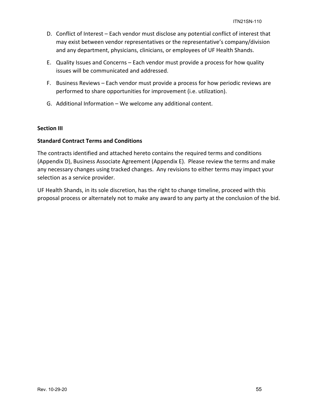- D. Conflict of Interest Each vendor must disclose any potential conflict of interest that may exist between vendor representatives or the representative's company/division and any department, physicians, clinicians, or employees of UF Health Shands.
- E. Quality Issues and Concerns Each vendor must provide a process for how quality issues will be communicated and addressed.
- F. Business Reviews Each vendor must provide a process for how periodic reviews are performed to share opportunities for improvement (i.e. utilization).
- G. Additional Information We welcome any additional content.

## **Section III**

## **Standard Contract Terms and Conditions**

The contracts identified and attached hereto contains the required terms and conditions (Appendix D), Business Associate Agreement (Appendix E). Please review the terms and make any necessary changes using tracked changes. Any revisions to either terms may impact your selection as a service provider.

UF Health Shands, in its sole discretion, has the right to change timeline, proceed with this proposal process or alternately not to make any award to any party at the conclusion of the bid.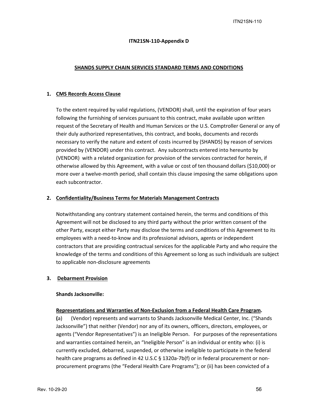#### **ITN21SN‐110‐Appendix D**

#### **SHANDS SUPPLY CHAIN SERVICES STANDARD TERMS AND CONDITIONS**

#### **1. CMS Records Access Clause**

To the extent required by valid regulations, (VENDOR) shall, until the expiration of four years following the furnishing of services pursuant to this contract, make available upon written request of the Secretary of Health and Human Services or the U.S. Comptroller General or any of their duly authorized representatives, this contract, and books, documents and records necessary to verify the nature and extent of costs incurred by (SHANDS) by reason of services provided by (VENDOR) under this contract. Any subcontracts entered into hereunto by (VENDOR) with a related organization for provision of the services contracted for herein, if otherwise allowed by this Agreement, with a value or cost of ten thousand dollars (\$10,000) or more over a twelve‐month period, shall contain this clause imposing the same obligations upon each subcontractor.

#### **2. Confidentiality/Business Terms for Materials Management Contracts**

Notwithstanding any contrary statement contained herein, the terms and conditions of this Agreement will not be disclosed to any third party without the prior written consent of the other Party, except either Party may disclose the terms and conditions of this Agreement to its employees with a need‐to‐know and its professional advisors, agents or independent contractors that are providing contractual services for the applicable Party and who require the knowledge of the terms and conditions of this Agreement so long as such individuals are subject to applicable non‐disclosure agreements

## **3. Debarment Provision**

#### **Shands Jacksonville:**

#### **Representations and Warranties of Non‐Exclusion from a Federal Health Care Program.**

**(**a) (Vendor) represents and warrants to Shands Jacksonville Medical Center, Inc. ("Shands Jacksonville") that neither (Vendor) nor any of its owners, officers, directors, employees, or agents ("Vendor Representatives") is an Ineligible Person. For purposes of the representations and warranties contained herein, an "Ineligible Person" is an individual or entity who: (i) is currently excluded, debarred, suspended, or otherwise ineligible to participate in the federal health care programs as defined in 42 U.S.C § 1320a-7b(f) or in federal procurement or nonprocurement programs (the "Federal Health Care Programs"); or (ii) has been convicted of a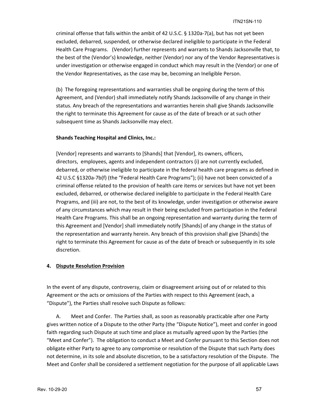criminal offense that falls within the ambit of 42 U.S.C. § 1320a‐7(a), but has not yet been excluded, debarred, suspended, or otherwise declared ineligible to participate in the Federal Health Care Programs. (Vendor) further represents and warrants to Shands Jacksonville that, to the best of the (Vendor's) knowledge, neither (Vendor) nor any of the Vendor Representatives is under investigation or otherwise engaged in conduct which may result in the (Vendor) or one of the Vendor Representatives, as the case may be, becoming an Ineligible Person.

(b) The foregoing representations and warranties shall be ongoing during the term of this Agreement, and (Vendor) shall immediately notify Shands Jacksonville of any change in their status. Any breach of the representations and warranties herein shall give Shands Jacksonville the right to terminate this Agreement for cause as of the date of breach or at such other subsequent time as Shands Jacksonville may elect.

## **Shands Teaching Hospital and Clinics, Inc.:**

[Vendor] represents and warrants to [Shands] that [Vendor], its owners, officers, directors, employees, agents and independent contractors (i) are not currently excluded, debarred, or otherwise ineligible to participate in the federal health care programs as defined in 42 U.S.C §1320a-7b(f) (the "Federal Health Care Programs"); (ii) have not been convicted of a criminal offense related to the provision of health care items or services but have not yet been excluded, debarred, or otherwise declared ineligible to participate in the Federal Health Care Programs, and (iii) are not, to the best of its knowledge, under investigation or otherwise aware of any circumstances which may result in their being excluded from participation in the Federal Health Care Programs. This shall be an ongoing representation and warranty during the term of this Agreement and [Vendor] shall immediately notify [Shands] of any change in the status of the representation and warranty herein. Any breach of this provision shall give [Shands] the right to terminate this Agreement for cause as of the date of breach or subsequently in its sole discretion.

#### **4. Dispute Resolution Provision**

In the event of any dispute, controversy, claim or disagreement arising out of or related to this Agreement or the acts or omissions of the Parties with respect to this Agreement (each, a "Dispute"), the Parties shall resolve such Dispute as follows:

A. Meet and Confer. The Parties shall, as soon as reasonably practicable after one Party gives written notice of a Dispute to the other Party (the "Dispute Notice"), meet and confer in good faith regarding such Dispute at such time and place as mutually agreed upon by the Parties (the "Meet and Confer"). The obligation to conduct a Meet and Confer pursuant to this Section does not obligate either Party to agree to any compromise or resolution of the Dispute that such Party does not determine, in its sole and absolute discretion, to be a satisfactory resolution of the Dispute. The Meet and Confer shall be considered a settlement negotiation for the purpose of all applicable Laws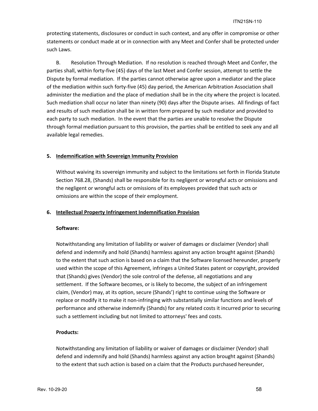protecting statements, disclosures or conduct in such context, and any offer in compromise or other statements or conduct made at or in connection with any Meet and Confer shall be protected under such Laws.

B. Resolution Through Mediation. If no resolution is reached through Meet and Confer, the parties shall, within forty‐five (45) days of the last Meet and Confer session, attempt to settle the Dispute by formal mediation. If the parties cannot otherwise agree upon a mediator and the place of the mediation within such forty‐five (45) day period, the American Arbitration Association shall administer the mediation and the place of mediation shall be in the city where the project is located. Such mediation shall occur no later than ninety (90) days after the Dispute arises. All findings of fact and results of such mediation shall be in written form prepared by such mediator and provided to each party to such mediation. In the event that the parties are unable to resolve the Dispute through formal mediation pursuant to this provision, the parties shall be entitled to seek any and all available legal remedies.

## **5. Indemnification with Sovereign Immunity Provision**

Without waiving its sovereign immunity and subject to the limitations set forth in Florida Statute Section 768.28, (Shands) shall be responsible for its negligent or wrongful acts or omissions and the negligent or wrongful acts or omissions of its employees provided that such acts or omissions are within the scope of their employment.

#### **6. Intellectual Property Infringement Indemnification Provision**

#### **Software:**

Notwithstanding any limitation of liability or waiver of damages or disclaimer (Vendor) shall defend and indemnify and hold (Shands) harmless against any action brought against (Shands) to the extent that such action is based on a claim that the Software licensed hereunder, properly used within the scope of this Agreement, infringes a United States patent or copyright, provided that (Shands) gives (Vendor) the sole control of the defense, all negotiations and any settlement. If the Software becomes, or is likely to become, the subject of an infringement claim, (Vendor) may, at its option, secure (Shands') right to continue using the Software or replace or modify it to make it non-infringing with substantially similar functions and levels of performance and otherwise indemnify (Shands) for any related costs it incurred prior to securing such a settlement including but not limited to attorneys' fees and costs.

## **Products:**

Notwithstanding any limitation of liability or waiver of damages or disclaimer (Vendor) shall defend and indemnify and hold (Shands) harmless against any action brought against (Shands) to the extent that such action is based on a claim that the Products purchased hereunder,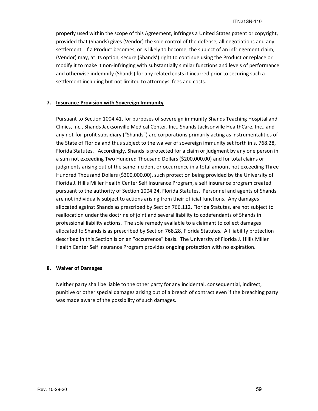properly used within the scope of this Agreement, infringes a United States patent or copyright, provided that (Shands) gives (Vendor) the sole control of the defense, all negotiations and any settlement. If a Product becomes, or is likely to become, the subject of an infringement claim, (Vendor) may, at its option, secure (Shands') right to continue using the Product or replace or modify it to make it non-infringing with substantially similar functions and levels of performance and otherwise indemnify (Shands) for any related costs it incurred prior to securing such a settlement including but not limited to attorneys' fees and costs.

## **7. Insurance Provision with Sovereign Immunity**

Pursuant to Section 1004.41, for purposes of sovereign immunity Shands Teaching Hospital and Clinics, Inc., Shands Jacksonville Medical Center, Inc., Shands Jacksonville HealthCare, Inc., and any not-for-profit subsidiary ("Shands") are corporations primarily acting as instrumentalities of the State of Florida and thus subject to the waiver of sovereign immunity set forth in s. 768.28, Florida Statutes. Accordingly, Shands is protected for a claim or judgment by any one person in a sum not exceeding Two Hundred Thousand Dollars (\$200,000.00) and for total claims or judgments arising out of the same incident or occurrence in a total amount not exceeding Three Hundred Thousand Dollars (\$300,000.00), such protection being provided by the University of Florida J. Hillis Miller Health Center Self Insurance Program, a self insurance program created pursuant to the authority of Section 1004.24, Florida Statutes. Personnel and agents of Shands are not individually subject to actions arising from their official functions. Any damages allocated against Shands as prescribed by Section 766.112, Florida Statutes, are not subject to reallocation under the doctrine of joint and several liability to codefendants of Shands in professional liability actions. The sole remedy available to a claimant to collect damages allocated to Shands is as prescribed by Section 768.28, Florida Statutes. All liability protection described in this Section is on an "occurrence" basis. The University of Florida J. Hillis Miller Health Center Self Insurance Program provides ongoing protection with no expiration.

## **8. Waiver of Damages**

Neither party shall be liable to the other party for any incidental, consequential, indirect, punitive or other special damages arising out of a breach of contract even if the breaching party was made aware of the possibility of such damages.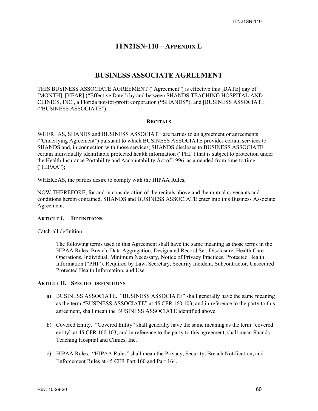## **ITN21SN-110 – APPENDIX E**

## **BUSINESS ASSOCIATE AGREEMENT**

THIS BUSINESS ASSOCIATE AGREEMENT ("Agreement") is effective this [DATE] day of [MONTH], [YEAR] ("Effective Date") by and between SHANDS TEACHING HOSPITAL AND CLINICS, INC., a Florida not-for-profit corporation (**"**SHANDS**"**), and [BUSINESS ASSOCIATE] ("BUSINESS ASSOCIATE").

#### **RECITALS**

WHEREAS, SHANDS and BUSINESS ASSOCIATE are parties to an agreement or agreements ("Underlying Agreement") pursuant to which BUSINESS ASSOCIATE provides certain services to SHANDS and, in connection with those services, SHANDS discloses to BUSINESS ASSOCIATE certain individually identifiable protected health information ("PHI") that is subject to protection under the Health Insurance Portability and Accountability Act of 1996, as amended from time to time ("HIPAA");

WHEREAS, the parties desire to comply with the HIPAA Rules;

NOW THEREFORE, for and in consideration of the recitals above and the mutual covenants and conditions herein contained, SHANDS and BUSINESS ASSOCIATE enter into this Business Associate Agreement.

#### **ARTICLE I. DEFINITIONS**

Catch-all definition:

The following terms used in this Agreement shall have the same meaning as those terms in the HIPAA Rules: Breach, Data Aggregation, Designated Record Set, Disclosure, Health Care Operations, Individual, Minimum Necessary, Notice of Privacy Practices, Protected Health Information ("PHI"), Required by Law, Secretary, Security Incident, Subcontractor, Unsecured Protected Health Information, and Use.

## **ARTICLE II. SPECIFIC DEFINITIONS**

- a) BUSINESS ASSOCIATE. "BUSINESS ASSOCIATE" shall generally have the same meaning as the term "BUSINESS ASSOCIATE" at 45 CFR 160.103, and in reference to the party to this agreement, shall mean the BUSINESS ASSOCIATE identified above.
- b) Covered Entity. "Covered Entity" shall generally have the same meaning as the term "covered entity" at 45 CFR 160.103, and in reference to the party to this agreement, shall mean Shands Teaching Hospital and Clinics, Inc.
- c) HIPAA Rules. "HIPAA Rules" shall mean the Privacy, Security, Breach Notification, and Enforcement Rules at 45 CFR Part 160 and Part 164.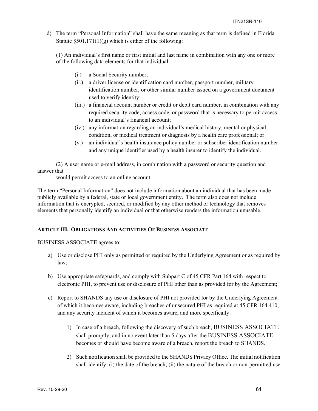d) The term "Personal Information" shall have the same meaning as that term is defined in Florida Statute  $\S 501.171(1)(g)$  which is either of the following:

(1) An individual's first name or first initial and last name in combination with any one or more of the following data elements for that individual:

- (i.) a Social Security number;
- (ii.) a driver license or identification card number, passport number, military identification number, or other similar number issued on a government document used to verify identity;
- (iii.) a financial account number or credit or debit card number, in combination with any required security code, access code, or password that is necessary to permit access to an individual's financial account;
- (iv.) any information regarding an individual's medical history, mental or physical condition, or medical treatment or diagnosis by a health care professional; or
- (v.) an individual's health insurance policy number or subscriber identification number and any unique identifier used by a health insurer to identify the individual.

(2) A user name or e-mail address, in combination with a password or security question and answer that

would permit access to an online account.

The term "Personal Information" does not include information about an individual that has been made publicly available by a federal, state or local government entity. The term also does not include information that is encrypted, secured, or modified by any other method or technology that removes elements that personally identify an individual or that otherwise renders the information unusable.

## **ARTICLE III. OBLIGATIONS AND ACTIVITIES OF BUSINESS ASSOCIATE**

BUSINESS ASSOCIATE agrees to:

- a) Use or disclose PHI only as permitted or required by the Underlying Agreement or as required by law;
- b) Use appropriate safeguards, and comply with Subpart C of 45 CFR Part 164 with respect to electronic PHI, to prevent use or disclosure of PHI other than as provided for by the Agreement;
- c) Report to SHANDS any use or disclosure of PHI not provided for by the Underlying Agreement of which it becomes aware, including breaches of unsecured PHI as required at 45 CFR 164.410, and any security incident of which it becomes aware, and more specifically:
	- 1) In case of a breach, following the discovery of such breach, BUSINESS ASSOCIATE shall promptly, and in no event later than 5 days after the BUSINESS ASSOCIATE becomes or should have become aware of a breach, report the breach to SHANDS.
	- 2) Such notification shall be provided to the SHANDS Privacy Office. The initial notification shall identify: (i) the date of the breach; (ii) the nature of the breach or non-permitted use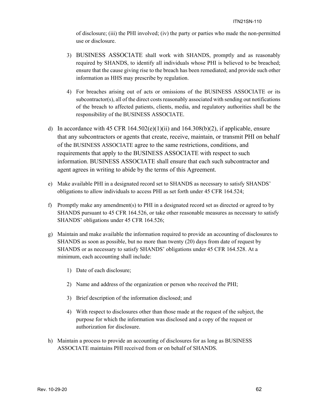of disclosure; (iii) the PHI involved; (iv) the party or parties who made the non-permitted use or disclosure.

- 3) BUSINESS ASSOCIATE shall work with SHANDS, promptly and as reasonably required by SHANDS, to identify all individuals whose PHI is believed to be breached; ensure that the cause giving rise to the breach has been remediated; and provide such other information as HHS may prescribe by regulation.
- 4) For breaches arising out of acts or omissions of the BUSINESS ASSOCIATE or its subcontractor(s), all of the direct costs reasonably associated with sending out notifications of the breach to affected patients, clients, media, and regulatory authorities shall be the responsibility of the BUSINESS ASSOCIATE.
- d) In accordance with 45 CFR  $164.502(e)(1)(ii)$  and  $164.308(b)(2)$ , if applicable, ensure that any subcontractors or agents that create, receive, maintain, or transmit PHI on behalf of the BUSINESS ASSOCIATE agree to the same restrictions, conditions, and requirements that apply to the BUSINESS ASSOCIATE with respect to such information. BUSINESS ASSOCIATE shall ensure that each such subcontractor and agent agrees in writing to abide by the terms of this Agreement.
- e) Make available PHI in a designated record set to SHANDS as necessary to satisfy SHANDS' obligations to allow individuals to access PHI as set forth under 45 CFR 164.524;
- f) Promptly make any amendment(s) to PHI in a designated record set as directed or agreed to by SHANDS pursuant to 45 CFR 164.526, or take other reasonable measures as necessary to satisfy SHANDS' obligations under 45 CFR 164.526;
- g) Maintain and make available the information required to provide an accounting of disclosures to SHANDS as soon as possible, but no more than twenty (20) days from date of request by SHANDS or as necessary to satisfy SHANDS' obligations under 45 CFR 164.528. At a minimum, each accounting shall include:
	- 1) Date of each disclosure;
	- 2) Name and address of the organization or person who received the PHI;
	- 3) Brief description of the information disclosed; and
	- 4) With respect to disclosures other than those made at the request of the subject, the purpose for which the information was disclosed and a copy of the request or authorization for disclosure.
- h) Maintain a process to provide an accounting of disclosures for as long as BUSINESS ASSOCIATE maintains PHI received from or on behalf of SHANDS.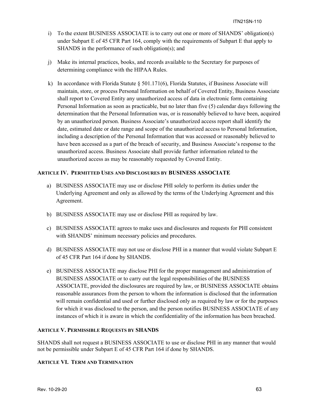- i) To the extent BUSINESS ASSOCIATE is to carry out one or more of SHANDS' obligation(s) under Subpart E of 45 CFR Part 164, comply with the requirements of Subpart E that apply to SHANDS in the performance of such obligation(s); and
- j) Make its internal practices, books, and records available to the Secretary for purposes of determining compliance with the HIPAA Rules.
- k) In accordance with Florida Statute § 501.171(6), Florida Statutes, if Business Associate will maintain, store, or process Personal Information on behalf of Covered Entity, Business Associate shall report to Covered Entity any unauthorized access of data in electronic form containing Personal Information as soon as practicable, but no later than five (5) calendar days following the determination that the Personal Information was, or is reasonably believed to have been, acquired by an unauthorized person. Business Associate's unauthorized access report shall identify the date, estimated date or date range and scope of the unauthorized access to Personal Information, including a description of the Personal Information that was accessed or reasonably believed to have been accessed as a part of the breach of security, and Business Associate's response to the unauthorized access. Business Associate shall provide further information related to the unauthorized access as may be reasonably requested by Covered Entity.

## **ARTICLE IV. PERMITTED USES AND DISCLOSURES BY BUSINESS ASSOCIATE**

- a) BUSINESS ASSOCIATE may use or disclose PHI solely to perform its duties under the Underlying Agreement and only as allowed by the terms of the Underlying Agreement and this Agreement.
- b) BUSINESS ASSOCIATE may use or disclose PHI as required by law.
- c) BUSINESS ASSOCIATE agrees to make uses and disclosures and requests for PHI consistent with SHANDS' minimum necessary policies and procedures.
- d) BUSINESS ASSOCIATE may not use or disclose PHI in a manner that would violate Subpart E of 45 CFR Part 164 if done by SHANDS.
- e) BUSINESS ASSOCIATE may disclose PHI for the proper management and administration of BUSINESS ASSOCIATE or to carry out the legal responsibilities of the BUSINESS ASSOCIATE, provided the disclosures are required by law, or BUSINESS ASSOCIATE obtains reasonable assurances from the person to whom the information is disclosed that the information will remain confidential and used or further disclosed only as required by law or for the purposes for which it was disclosed to the person, and the person notifies BUSINESS ASSOCIATE of any instances of which it is aware in which the confidentiality of the information has been breached.

## **ARTICLE V. PERMISSIBLE REQUESTS BY SHANDS**

SHANDS shall not request a BUSINESS ASSOCIATE to use or disclose PHI in any manner that would not be permissible under Subpart E of 45 CFR Part 164 if done by SHANDS.

## **ARTICLE VI. TERM AND TERMINATION**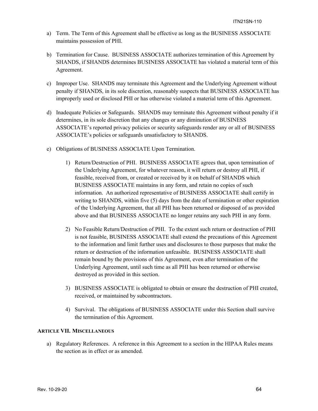- a) Term. The Term of this Agreement shall be effective as long as the BUSINESS ASSOCIATE maintains possession of PHI.
- b) Termination for Cause. BUSINESS ASSOCIATE authorizes termination of this Agreement by SHANDS, if SHANDS determines BUSINESS ASSOCIATE has violated a material term of this Agreement.
- c) Improper Use. SHANDS may terminate this Agreement and the Underlying Agreement without penalty if SHANDS, in its sole discretion, reasonably suspects that BUSINESS ASSOCIATE has improperly used or disclosed PHI or has otherwise violated a material term of this Agreement.
- d) Inadequate Policies or Safeguards. SHANDS may terminate this Agreement without penalty if it determines, in its sole discretion that any changes or any diminution of BUSINESS ASSOCIATE's reported privacy policies or security safeguards render any or all of BUSINESS ASSOCIATE's policies or safeguards unsatisfactory to SHANDS.
- e) Obligations of BUSINESS ASSOCIATE Upon Termination.
	- 1) Return/Destruction of PHI. BUSINESS ASSOCIATE agrees that, upon termination of the Underlying Agreement, for whatever reason, it will return or destroy all PHI, if feasible, received from, or created or received by it on behalf of SHANDS which BUSINESS ASSOCIATE maintains in any form, and retain no copies of such information. An authorized representative of BUSINESS ASSOCIATE shall certify in writing to SHANDS, within five (5) days from the date of termination or other expiration of the Underlying Agreement, that all PHI has been returned or disposed of as provided above and that BUSINESS ASSOCIATE no longer retains any such PHI in any form.
	- 2) No Feasible Return/Destruction of PHI. To the extent such return or destruction of PHI is not feasible, BUSINESS ASSOCIATE shall extend the precautions of this Agreement to the information and limit further uses and disclosures to those purposes that make the return or destruction of the information unfeasible. BUSINESS ASSOCIATE shall remain bound by the provisions of this Agreement, even after termination of the Underlying Agreement, until such time as all PHI has been returned or otherwise destroyed as provided in this section.
	- 3) BUSINESS ASSOCIATE is obligated to obtain or ensure the destruction of PHI created, received, or maintained by subcontractors.
	- 4) Survival. The obligations of BUSINESS ASSOCIATE under this Section shall survive the termination of this Agreement.

## **ARTICLE VII. MISCELLANEOUS**

a) Regulatory References. A reference in this Agreement to a section in the HIPAA Rules means the section as in effect or as amended.